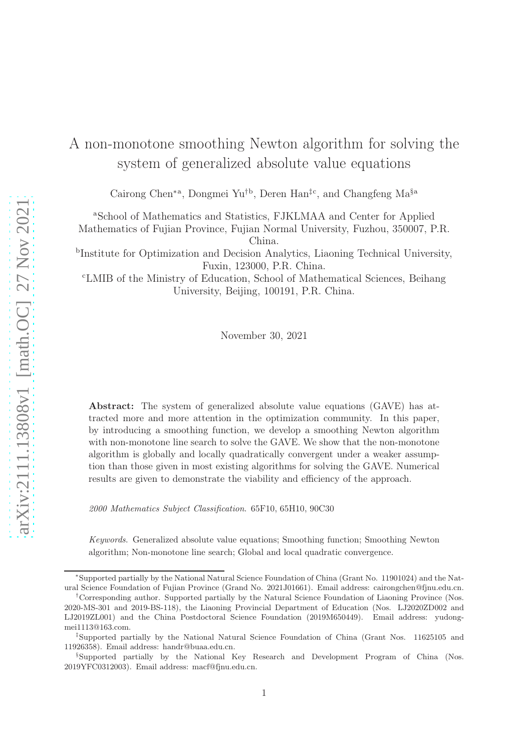# A non-monotone smoothing Newton algorithm for solving the system of generalized absolute value equations

Cairong Chen∗a, Dongmei Yu†b, Deren Han‡c, and Changfeng Ma§a

<sup>a</sup>School of Mathematics and Statistics, FJKLMAA and Center for Applied Mathematics of Fujian Province, Fujian Normal University, Fuzhou, 350007, P.R.

China.

b Institute for Optimization and Decision Analytics, Liaoning Technical University, Fuxin, 123000, P.R. China.

<sup>c</sup>LMIB of the Ministry of Education, School of Mathematical Sciences, Beihang University, Beijing, 100191, P.R. China.

November 30, 2021

Abstract: The system of generalized absolute value equations (GAVE) has attracted more and more attention in the optimization community. In this paper, by introducing a smoothing function, we develop a smoothing Newton algorithm with non-monotone line search to solve the GAVE. We show that the non-monotone algorithm is globally and locally quadratically convergent under a weaker assumption than those given in most existing algorithms for solving the GAVE. Numerical results are given to demonstrate the viability and efficiency of the approach.

*2000 Mathematics Subject Classification*. 65F10, 65H10, 90C30

*Keywords*. Generalized absolute value equations; Smoothing function; Smoothing Newton algorithm; Non-monotone line search; Global and local quadratic convergence.

<sup>∗</sup>Supported partially by the National Natural Science Foundation of China (Grant No. 11901024) and the Natural Science Foundation of Fujian Province (Grand No. 2021J01661). Email address: cairongchen@fjnu.edu.cn.

<sup>†</sup>Corresponding author. Supported partially by the Natural Science Foundation of Liaoning Province (Nos. 2020-MS-301 and 2019-BS-118), the Liaoning Provincial Department of Education (Nos. LJ2020ZD002 and LJ2019ZL001) and the China Postdoctoral Science Foundation (2019M650449). Email address: yudongmei1113@163.com.

<sup>‡</sup>Supported partially by the National Natural Science Foundation of China (Grant Nos. 11625105 and 11926358). Email address: handr@buaa.edu.cn.

<sup>§</sup>Supported partially by the National Key Research and Development Program of China (Nos. 2019YFC0312003). Email address: macf@fjnu.edu.cn.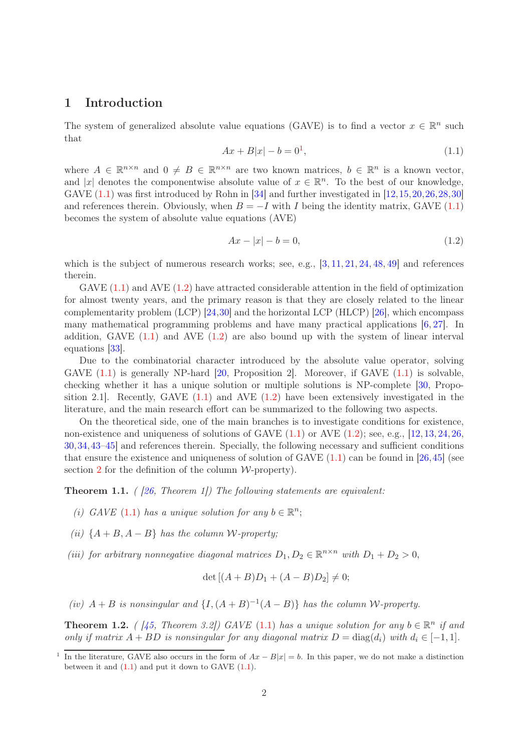# 1 Introduction

The system of generalized absolute value equations (GAVE) is to find a vector  $x \in \mathbb{R}^n$  such that

<span id="page-1-0"></span>
$$
Ax + B|x| - b = 01,
$$
\n(1.1)

where  $A \in \mathbb{R}^{n \times n}$  and  $0 \neq B \in \mathbb{R}^{n \times n}$  are two known matrices,  $b \in \mathbb{R}^n$  is a known vector, and |x| denotes the componentwise absolute value of  $x \in \mathbb{R}^n$ . To the best of our knowledge, GAVE  $(1.1)$  was first introduced by Rohn in [\[34\]](#page-18-0) and further investigated in [\[12,](#page-17-0)[15,](#page-17-1)[20,](#page-17-2)[26,](#page-17-3)[28,](#page-17-4)[30\]](#page-18-1) and references therein. Obviously, when  $B = -I$  with I being the identity matrix, GAVE [\(1.1\)](#page-1-0) becomes the system of absolute value equations (AVE)

<span id="page-1-1"></span>
$$
Ax - |x| - b = 0,\t\t(1.2)
$$

which is the subject of numerous research works; see, e.g.,  $[3, 11, 21, 24, 48, 49]$  $[3, 11, 21, 24, 48, 49]$  $[3, 11, 21, 24, 48, 49]$  $[3, 11, 21, 24, 48, 49]$  $[3, 11, 21, 24, 48, 49]$  $[3, 11, 21, 24, 48, 49]$  $[3, 11, 21, 24, 48, 49]$  $[3, 11, 21, 24, 48, 49]$  $[3, 11, 21, 24, 48, 49]$  $[3, 11, 21, 24, 48, 49]$  and references therein.

GAVE  $(1.1)$  and AVE  $(1.2)$  have attracted considerable attention in the field of optimization for almost twenty years, and the primary reason is that they are closely related to the linear complementarity problem (LCP) [\[24,](#page-17-7)[30\]](#page-18-1) and the horizontal LCP (HLCP) [\[26\]](#page-17-3), which encompass many mathematical programming problems and have many practical applications  $[6, 27]$  $[6, 27]$ . In addition, GAVE  $(1.1)$  and AVE  $(1.2)$  are also bound up with the system of linear interval equations [\[33\]](#page-18-3).

Due to the combinatorial character introduced by the absolute value operator, solving GAVE  $(1.1)$  is generally NP-hard  $|20$ , Proposition 2. Moreover, if GAVE  $(1.1)$  is solvable, checking whether it has a unique solution or multiple solutions is NP-complete [\[30,](#page-18-1) Proposition 2.1. Recently, GAVE  $(1.1)$  and AVE  $(1.2)$  have been extensively investigated in the literature, and the main research effort can be summarized to the following two aspects.

On the theoretical side, one of the main branches is to investigate conditions for existence, non-existence and uniqueness of solutions of GAVE  $(1.1)$  or AVE  $(1.2)$ ; see, e.g.,  $[12, 13, 24, 26,$  $[12, 13, 24, 26,$  $[12, 13, 24, 26,$  $[12, 13, 24, 26,$  $[12, 13, 24, 26,$  $[12, 13, 24, 26,$ [30,](#page-18-1)[34,](#page-18-0)[43](#page-18-4)[–45\]](#page-18-5) and references therein. Specially, the following necessary and sufficient conditions that ensure the existence and uniqueness of solution of GAVE  $(1.1)$  can be found in [\[26,](#page-17-3)[45\]](#page-18-5) (see section [2](#page-3-0) for the definition of the column  $W$ -property).

<span id="page-1-2"></span>**Theorem 1.1.** ( [\[26,](#page-17-3) Theorem 1]) The following statements are equivalent:

- (i) GAVE [\(1.1\)](#page-1-0) has a unique solution for any  $b \in \mathbb{R}^n$ ;
- (ii)  $\{A + B, A B\}$  has the column W-property;
- (iii) for arbitrary nonnegative diagonal matrices  $D_1, D_2 \in \mathbb{R}^{n \times n}$  with  $D_1 + D_2 > 0$ ,

$$
\det [(A + B)D_1 + (A - B)D_2] \neq 0;
$$

(iv)  $A + B$  is nonsingular and  $\{I, (A + B)^{-1}(A - B)\}\$  has the column W-property.

<span id="page-1-3"></span>**Theorem 1.2.** ( [\[45,](#page-18-5) Theorem 3.2]) GAVE [\(1.1\)](#page-1-0) has a unique solution for any  $b \in \mathbb{R}^n$  if and only if matrix  $A + BD$  is nonsingular for any diagonal matrix  $D = \text{diag}(d_i)$  with  $d_i \in [-1, 1]$ .

<sup>&</sup>lt;sup>1</sup> In the literature, GAVE also occurs in the form of  $Ax - B|x| = b$ . In this paper, we do not make a distinction between it and  $(1.1)$  and put it down to GAVE  $(1.1)$ .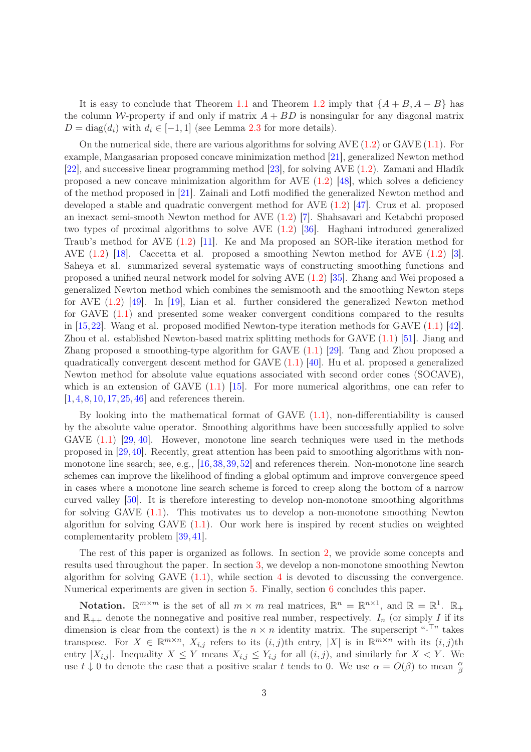It is easy to conclude that Theorem [1.1](#page-1-2) and Theorem [1.2](#page-1-3) imply that  $\{A + B, A - B\}$  has the column W-property if and only if matrix  $A + BD$  is nonsingular for any diagonal matrix  $D = \text{diag}(d_i)$  with  $d_i \in [-1, 1]$  (see Lemma [2.3](#page-4-0) for more details).

On the numerical side, there are various algorithms for solving AVE  $(1.2)$  or GAVE  $(1.1)$ . For example, Mangasarian proposed concave minimization method [\[21\]](#page-17-6), generalized Newton method [\[22\]](#page-17-10), and successive linear programming method [\[23\]](#page-17-11), for solving AVE [\(1.2\)](#page-1-1). Zamani and Hladík proposed a new concave minimization algorithm for AVE  $(1.2)$  [\[48\]](#page-18-2), which solves a deficiency of the method proposed in [\[21\]](#page-17-6). Zainali and Lotfi modified the generalized Newton method and developed a stable and quadratic convergent method for AVE [\(1.2\)](#page-1-1) [\[47\]](#page-18-6). Cruz et al. proposed an inexact semi-smooth Newton method for AVE [\(1.2\)](#page-1-1) [\[7\]](#page-16-1). Shahsavari and Ketabchi proposed two types of proximal algorithms to solve AVE [\(1.2\)](#page-1-1) [\[36\]](#page-18-7). Haghani introduced generalized Traub's method for AVE [\(1.2\)](#page-1-1) [\[11\]](#page-17-5). Ke and Ma proposed an SOR-like iteration method for AVE [\(1.2\)](#page-1-1) [\[18\]](#page-17-12). Caccetta et al. proposed a smoothing Newton method for AVE [\(1.2\)](#page-1-1) [\[3\]](#page-15-0). Saheya et al. summarized several systematic ways of constructing smoothing functions and proposed a unified neural network model for solving AVE [\(1.2\)](#page-1-1) [\[35\]](#page-18-8). Zhang and Wei proposed a generalized Newton method which combines the semismooth and the smoothing Newton steps for AVE [\(1.2\)](#page-1-1) [\[49\]](#page-19-0). In [\[19\]](#page-17-13), Lian et al. further considered the generalized Newton method for GAVE [\(1.1\)](#page-1-0) and presented some weaker convergent conditions compared to the results in [\[15,](#page-17-1)[22\]](#page-17-10). Wang et al. proposed modified Newton-type iteration methods for GAVE [\(1.1\)](#page-1-0) [\[42\]](#page-18-9). Zhou et al. established Newton-based matrix splitting methods for GAVE [\(1.1\)](#page-1-0) [\[51\]](#page-19-1). Jiang and Zhang proposed a smoothing-type algorithm for GAVE [\(1.1\)](#page-1-0) [\[29\]](#page-17-14). Tang and Zhou proposed a quadratically convergent descent method for GAVE [\(1.1\)](#page-1-0) [\[40\]](#page-18-10). Hu et al. proposed a generalized Newton method for absolute value equations associated with second order cones (SOCAVE), which is an extension of GAVE  $(1.1)$  [\[15\]](#page-17-1). For more numerical algorithms, one can refer to [\[1,](#page-14-0) [4,](#page-15-1) [8,](#page-16-2) [10,](#page-17-15) [17,](#page-17-16) [25,](#page-17-17) [46\]](#page-18-11) and references therein.

By looking into the mathematical format of GAVE [\(1.1\)](#page-1-0), non-differentiability is caused by the absolute value operator. Smoothing algorithms have been successfully applied to solve GAVE  $(1.1)$  [\[29,](#page-17-14) [40\]](#page-18-10). However, monotone line search techniques were used in the methods proposed in [\[29,](#page-17-14)[40\]](#page-18-10). Recently, great attention has been paid to smoothing algorithms with nonmonotone line search; see, e.g., [\[16,](#page-17-18)[38,](#page-18-12)[39,](#page-18-13)[52\]](#page-19-2) and references therein. Non-monotone line search schemes can improve the likelihood of finding a global optimum and improve convergence speed in cases where a monotone line search scheme is forced to creep along the bottom of a narrow curved valley [\[50\]](#page-19-3). It is therefore interesting to develop non-monotone smoothing algorithms for solving GAVE [\(1.1\)](#page-1-0). This motivates us to develop a non-monotone smoothing Newton algorithm for solving GAVE [\(1.1\)](#page-1-0). Our work here is inspired by recent studies on weighted complementarity problem [\[39,](#page-18-13) [41\]](#page-18-14).

The rest of this paper is organized as follows. In section [2,](#page-3-0) we provide some concepts and results used throughout the paper. In section [3,](#page-5-0) we develop a non-monotone smoothing Newton algorithm for solving GAVE  $(1.1)$ , while section [4](#page-10-0) is devoted to discussing the convergence. Numerical experiments are given in section [5.](#page-13-0) Finally, section [6](#page-14-1) concludes this paper.

**Notation.**  $\mathbb{R}^{m \times m}$  is the set of all  $m \times m$  real matrices,  $\mathbb{R}^n = \mathbb{R}^{n \times 1}$ , and  $\mathbb{R} = \mathbb{R}^1$ .  $\mathbb{R}_+$ and  $\mathbb{R}_{++}$  denote the nonnegative and positive real number, respectively.  $I_n$  (or simply I if its dimension is clear from the context) is the  $n \times n$  identity matrix. The superscript " $\cdot^{\top}$ " takes transpose. For  $X \in \mathbb{R}^{m \times n}$ ,  $X_{i,j}$  refers to its  $(i, j)$ th entry,  $|X|$  is in  $\mathbb{R}^{m \times n}$  with its  $(i, j)$ th entry  $|X_{i,j}|$ . Inequality  $X \leq Y$  means  $X_{i,j} \leq Y_{i,j}$  for all  $(i,j)$ , and similarly for  $X \leq Y$ . We use  $t \downarrow 0$  to denote the case that a positive scalar t tends to 0. We use  $\alpha = O(\beta)$  to mean  $\frac{\alpha}{\beta}$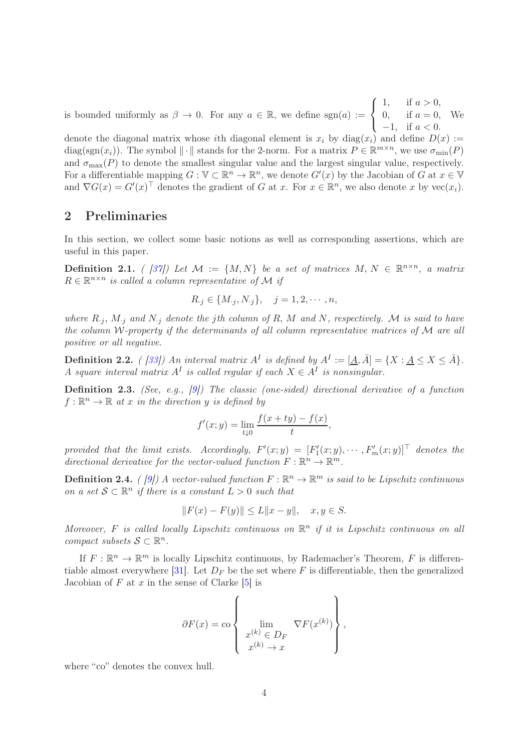is bounded uniformly as  $\beta \to 0$ . For any  $a \in \mathbb{R}$ , we define sgn(a) :=  $\sqrt{ }$  $\left\vert \right\vert$  $\mathcal{L}$ 1, if  $a > 0$ , 0, if  $a = 0$ ,  $-1$ , if  $a < 0$ . We

denote the diagonal matrix whose ith diagonal element is  $x_i$  by  $diag(x_i)$  and define  $D(x) :=$ diag(sgn(x<sub>i</sub>)). The symbol  $\|\cdot\|$  stands for the 2-norm. For a matrix  $P \in \mathbb{R}^{m \times n}$ , we use  $\sigma_{\min}(P)$ and  $\sigma_{\text{max}}(P)$  to denote the smallest singular value and the largest singular value, respectively. For a differentiable mapping  $G: \mathbb{V} \subset \mathbb{R}^n \to \mathbb{R}^n$ , we denote  $G'(x)$  by the Jacobian of G at  $x \in \mathbb{V}$ and  $\nabla G(x) = G'(x)^\top$  denotes the gradient of G at x. For  $x \in \mathbb{R}^n$ , we also denote x by  $\text{vec}(x_i)$ .

## <span id="page-3-0"></span>2 Preliminaries

In this section, we collect some basic notions as well as corresponding assertions, which are useful in this paper.

**Definition 2.1.** ( [\[37\]](#page-18-15)) Let  $M := \{M, N\}$  be a set of matrices  $M, N \in \mathbb{R}^{n \times n}$ , a matrix  $R \in \mathbb{R}^{n \times n}$  is called a column representative of M if

$$
R_{\cdot j} \in \{M_{\cdot j}, N_{\cdot j}\}, \quad j = 1, 2, \cdots, n,
$$

where  $R_{ij}$ ,  $M_{ij}$  and  $N_{ij}$  denote the jth column of R, M and N, respectively. M is said to have the column W-property if the determinants of all column representative matrices of M are all positive or all negative.

**Definition 2.2.** ( [\[33\]](#page-18-3)) An interval matrix  $A^I$  is defined by  $A^I := [\underline{A}, \overline{A}] = \{X : \underline{A} \le X \le \overline{A}\}.$ A square interval matrix  $A<sup>I</sup>$  is called regular if each  $X \in A<sup>I</sup>$  is nonsingular.

Definition 2.3. (See, e.g., [\[9\]](#page-16-3)) The classic (one-sided) directional derivative of a function  $f: \mathbb{R}^n \to \mathbb{R}$  at x in the direction y is defined by

$$
f'(x; y) = \lim_{t \downarrow 0} \frac{f(x + ty) - f(x)}{t},
$$

provided that the limit exists. Accordingly,  $F'(x; y) = [F'_1(x; y), \cdots, F'_m(x; y)]^\top$  denotes the directional derivative for the vector-valued function  $F: \mathbb{R}^n \to \mathbb{R}^m$ .

**Definition 2.4.** (*[9])* A vector-valued function  $F : \mathbb{R}^n \to \mathbb{R}^m$  is said to be Lipschitz continuous on a set  $S \subset \mathbb{R}^n$  if there is a constant  $L > 0$  such that

$$
||F(x) - F(y)|| \le L||x - y||, \quad x, y \in S.
$$

Moreover, F is called locally Lipschitz continuous on  $\mathbb{R}^n$  if it is Lipschitz continuous on all compact subsets  $S \subset \mathbb{R}^n$ .

If  $F: \mathbb{R}^n \to \mathbb{R}^m$  is locally Lipschitz continuous, by Rademacher's Theorem, F is differen-tiable almost everywhere [\[31\]](#page-18-16). Let  $D_F$  be the set where F is differentiable, then the generalized Jacobian of  $F$  at  $x$  in the sense of Clarke  $[5]$  is

$$
\partial F(x) = \text{co}\left\{\lim_{\substack{x^{(k)} \in D_F\\x^{(k)} \to x}} \nabla F(x^{(k)})\right\},\,
$$

where "co" denotes the convex hull.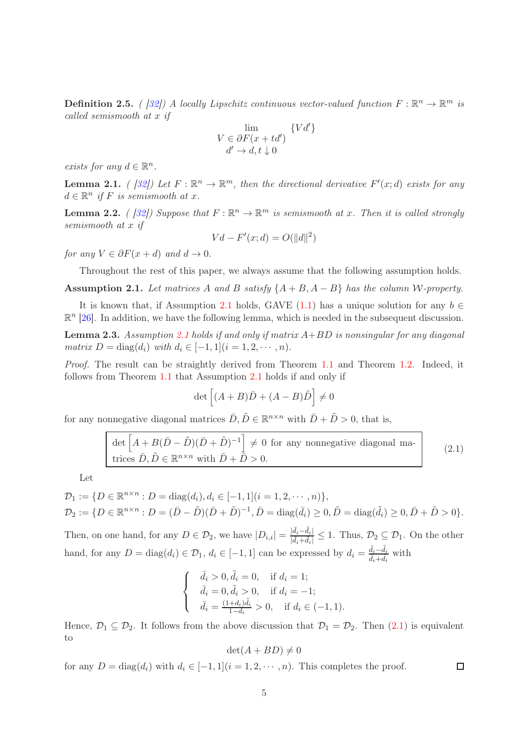**Definition 2.5.** ( [\[32\]](#page-18-17)) A locally Lipschitz continuous vector-valued function  $F : \mathbb{R}^n \to \mathbb{R}^m$  is called semismooth at x if

$$
V \in \partial F(x + td') \{ Vd' \}
$$
  

$$
d' \to d, t \downarrow 0
$$

exists for any  $d \in \mathbb{R}^n$ .

<span id="page-4-3"></span>**Lemma 2.1.** ([32]) Let  $F : \mathbb{R}^n \to \mathbb{R}^m$ , then the directional derivative  $F'(x; d)$  exists for any  $d \in \mathbb{R}^n$  if F is semismooth at x.

<span id="page-4-4"></span>**Lemma 2.2.** ( [\[32\]](#page-18-17)) Suppose that  $F : \mathbb{R}^n \to \mathbb{R}^m$  is semismooth at x. Then it is called strongly semismooth at x if

$$
Vd - F'(x; d) = O(||d||^2)
$$

for any  $V \in \partial F(x+d)$  and  $d \to 0$ .

Throughout the rest of this paper, we always assume that the following assumption holds.

<span id="page-4-1"></span>Assumption 2.1. Let matrices A and B satisfy  $\{A + B, A - B\}$  has the column W-property.

It is known that, if Assumption [2.1](#page-4-1) holds, GAVE [\(1.1\)](#page-1-0) has a unique solution for any  $b \in$  $\mathbb{R}^n$  [\[26\]](#page-17-3). In addition, we have the following lemma, which is needed in the subsequent discussion.

<span id="page-4-0"></span>**Lemma 2.3.** Assumption [2.1](#page-4-1) holds if and only if matrix  $A+BD$  is nonsingular for any diagonal matrix  $D = \text{diag}(d_i)$  with  $d_i \in [-1, 1]$   $(i = 1, 2, \dots, n)$ .

Proof. The result can be straightly derived from Theorem [1.1](#page-1-2) and Theorem [1.2.](#page-1-3) Indeed, it follows from Theorem [1.1](#page-1-2) that Assumption [2.1](#page-4-1) holds if and only if

$$
\det \left[ (A+B)\bar{D} + (A-B)\tilde{D} \right] \neq 0
$$

for any nonnegative diagonal matrices  $\bar{D}, \tilde{D} \in \mathbb{R}^{n \times n}$  with  $\bar{D} + \tilde{D} > 0$ , that is,

<span id="page-4-2"></span>
$$
\det \left[ A + B(\bar{D} - \tilde{D})(\bar{D} + \tilde{D})^{-1} \right] \neq 0 \text{ for any nonnegative diagonal ma-trices } \bar{D}, \tilde{D} \in \mathbb{R}^{n \times n} \text{ with } \bar{D} + \tilde{D} > 0.
$$
 (2.1)

Let

$$
\mathcal{D}_1 := \{ D \in \mathbb{R}^{n \times n} : D = \text{diag}(d_i), d_i \in [-1, 1] (i = 1, 2, \cdots, n) \},\
$$
  

$$
\mathcal{D}_2 := \{ D \in \mathbb{R}^{n \times n} : D = (\bar{D} - \tilde{D})(\bar{D} + \tilde{D})^{-1}, \bar{D} = \text{diag}(\bar{d}_i) \ge 0, \tilde{D} = \text{diag}(\tilde{d}_i) \ge 0, \bar{D} + \tilde{D} > 0 \}.
$$

Then, on one hand, for any  $D \in \mathcal{D}_2$ , we have  $|D_{i,i}| = \frac{|\tilde{d}_i - \tilde{d}_i|}{|\tilde{d}_i + \tilde{d}_i|}$  $\frac{|a_i - a_i|}{|\bar{d}_i + \tilde{d}_i|} \leq 1$ . Thus,  $\mathcal{D}_2 \subseteq \mathcal{D}_1$ . On the other hand, for any  $D = \text{diag}(d_i) \in \mathcal{D}_1$ ,  $d_i \in [-1, 1]$  can be expressed by  $d_i = \frac{\bar{d}_i - \tilde{d}_i}{\bar{d}_i + \tilde{d}_i}$  with

$$
\begin{cases}\n\bar{d}_i > 0, \tilde{d}_i = 0, & \text{if } d_i = 1; \\
\bar{d}_i = 0, \tilde{d}_i > 0, & \text{if } d_i = -1; \\
\bar{d}_i = \frac{(1+d_i)\tilde{d}_i}{1-d_i} > 0, & \text{if } d_i \in (-1, 1).\n\end{cases}
$$

Hence,  $\mathcal{D}_1 \subseteq \mathcal{D}_2$ . It follows from the above discussion that  $\mathcal{D}_1 = \mathcal{D}_2$ . Then  $(2.1)$  is equivalent to

$$
\det(A + BD) \neq 0
$$

for any  $D = \text{diag}(d_i)$  with  $d_i \in [-1, 1]$  $(i = 1, 2, \dots, n)$ . This completes the proof.

 $\Box$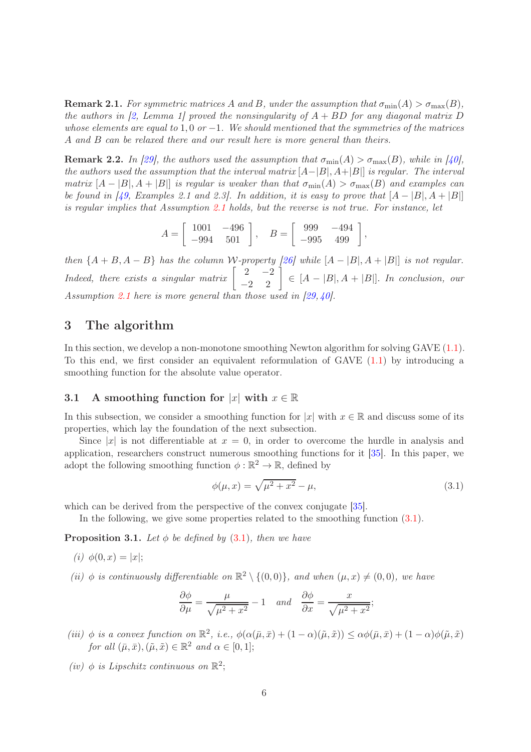**Remark 2.1.** For symmetric matrices A and B, under the assumption that  $\sigma_{\min}(A) > \sigma_{\max}(B)$ , the authors in [\[2,](#page-15-3) Lemma 1] proved the nonsingularity of  $A + BD$  for any diagonal matrix D whose elements are equal to 1,0 or  $-1$ . We should mentioned that the symmetries of the matrices A and B can be relaxed there and our result here is more general than theirs.

**Remark 2.2.** In [\[29\]](#page-17-14), the authors used the assumption that  $\sigma_{\min}(A) > \sigma_{\max}(B)$ , while in [\[40\]](#page-18-10), the authors used the assumption that the interval matrix  $[A-|B|, A+|B|]$  is regular. The interval matrix  $[A - |B|, A + |B|]$  is regular is weaker than that  $\sigma_{min}(A) > \sigma_{max}(B)$  and examples can be found in [\[49,](#page-19-0) Examples 2.1 and 2.3]. In addition, it is easy to prove that  $[A - |B|, A + |B|]$ is regular implies that Assumption [2.1](#page-4-1) holds, but the reverse is not true. For instance, let

$$
A = \left[ \begin{array}{cc} 1001 & -496 \\ -994 & 501 \end{array} \right], \quad B = \left[ \begin{array}{cc} 999 & -494 \\ -995 & 499 \end{array} \right],
$$

then  $\{A + B, A - B\}$  has the column W-property [\[26\]](#page-17-3) while  $[A - |B|, A + |B|]$  is not regular. Indeed, there exists a singular matrix  $\begin{bmatrix} 2 & -2 \\ -2 & 2 \end{bmatrix} \in [A - |B|, A + |B|]$ . In conclusion, our Assumption [2.1](#page-4-1) here is more general than those used in [\[29,](#page-17-14) [40\]](#page-18-10).

# <span id="page-5-0"></span>3 The algorithm

In this section, we develop a non-monotone smoothing Newton algorithm for solving GAVE [\(1.1\)](#page-1-0). To this end, we first consider an equivalent reformulation of GAVE [\(1.1\)](#page-1-0) by introducing a smoothing function for the absolute value operator.

## 3.1 A smoothing function for |x| with  $x \in \mathbb{R}$

In this subsection, we consider a smoothing function for  $|x|$  with  $x \in \mathbb{R}$  and discuss some of its properties, which lay the foundation of the next subsection.

Since |x| is not differentiable at  $x = 0$ , in order to overcome the hurdle in analysis and application, researchers construct numerous smoothing functions for it [\[35\]](#page-18-8). In this paper, we adopt the following smoothing function  $\phi : \mathbb{R}^2 \to \mathbb{R}$ , defined by

<span id="page-5-1"></span>
$$
\phi(\mu, x) = \sqrt{\mu^2 + x^2} - \mu,\tag{3.1}
$$

which can be derived from the perspective of the convex conjugate [\[35\]](#page-18-8).

In the following, we give some properties related to the smoothing function [\(3.1\)](#page-5-1).

<span id="page-5-2"></span>**Proposition 3.1.** Let  $\phi$  be defined by [\(3.1\)](#page-5-1), then we have

- (i)  $\phi(0, x) = |x|;$
- (ii)  $\phi$  is continuously differentiable on  $\mathbb{R}^2 \setminus \{(0,0)\}\$ , and when  $(\mu, x) \neq (0,0)$ , we have

$$
\frac{\partial \phi}{\partial \mu} = \frac{\mu}{\sqrt{\mu^2 + x^2}} - 1 \quad and \quad \frac{\partial \phi}{\partial x} = \frac{x}{\sqrt{\mu^2 + x^2}};
$$

- (iii)  $\phi$  is a convex function on  $\mathbb{R}^2$ , i.e.,  $\phi(\alpha(\bar{\mu}, \bar{x}) + (1 \alpha)(\tilde{\mu}, \tilde{x})) \leq \alpha \phi(\bar{\mu}, \bar{x}) + (1 \alpha)\phi(\tilde{\mu}, \tilde{x})$ for all  $(\bar{\mu}, \bar{x}), (\tilde{\mu}, \tilde{x}) \in \mathbb{R}^2$  and  $\alpha \in [0, 1]$ ;
- (iv)  $\phi$  is Lipschitz continuous on  $\mathbb{R}^2$ ;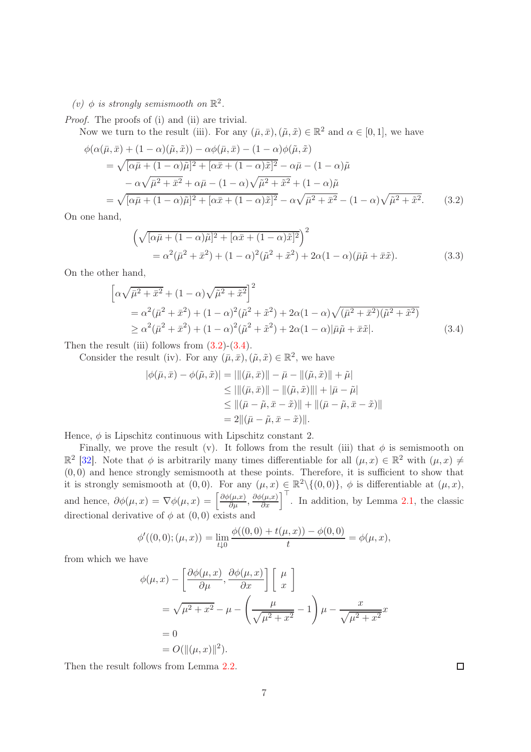(*v*)  $\phi$  is strongly semismooth on  $\mathbb{R}^2$ .

Proof. The proofs of (i) and (ii) are trivial.

Now we turn to the result (iii). For any  $(\bar{\mu}, \bar{x}), (\tilde{\mu}, \tilde{x}) \in \mathbb{R}^2$  and  $\alpha \in [0, 1]$ , we have

$$
\phi(\alpha(\bar{\mu}, \bar{x}) + (1 - \alpha)(\tilde{\mu}, \tilde{x})) - \alpha \phi(\bar{\mu}, \bar{x}) - (1 - \alpha)\phi(\tilde{\mu}, \tilde{x}) \n= \sqrt{[\alpha\bar{\mu} + (1 - \alpha)\tilde{\mu}]^2 + [\alpha\bar{x} + (1 - \alpha)\tilde{x}]^2} - \alpha\bar{\mu} - (1 - \alpha)\tilde{\mu} \n- \alpha\sqrt{\bar{\mu}^2 + \bar{x}^2} + \alpha\bar{\mu} - (1 - \alpha)\sqrt{\tilde{\mu}^2 + \tilde{x}^2} + (1 - \alpha)\tilde{\mu} \n= \sqrt{[\alpha\bar{\mu} + (1 - \alpha)\tilde{\mu}]^2 + [\alpha\bar{x} + (1 - \alpha)\tilde{x}]^2} - \alpha\sqrt{\bar{\mu}^2 + \bar{x}^2} - (1 - \alpha)\sqrt{\tilde{\mu}^2 + \tilde{x}^2}.
$$
\n(3.2)

On one hand,

<span id="page-6-0"></span>
$$
\left(\sqrt{[\alpha\bar{\mu} + (1-\alpha)\tilde{\mu}]^2 + [\alpha\bar{x} + (1-\alpha)\tilde{x}]^2}\right)^2
$$
  
=  $\alpha^2(\bar{\mu}^2 + \bar{x}^2) + (1-\alpha)^2(\tilde{\mu}^2 + \tilde{x}^2) + 2\alpha(1-\alpha)(\bar{\mu}\tilde{\mu} + \bar{x}\tilde{x}).$  (3.3)

On the other hand,

$$
\left[\alpha\sqrt{\bar{\mu}^2 + \bar{x}^2} + (1 - \alpha)\sqrt{\tilde{\mu}^2 + \tilde{x}^2}\right]^2
$$
  
=  $\alpha^2(\bar{\mu}^2 + \bar{x}^2) + (1 - \alpha)^2(\tilde{\mu}^2 + \tilde{x}^2) + 2\alpha(1 - \alpha)\sqrt{(\bar{\mu}^2 + \bar{x}^2)(\tilde{\mu}^2 + \tilde{x}^2)}$   
 $\ge \alpha^2(\bar{\mu}^2 + \bar{x}^2) + (1 - \alpha)^2(\tilde{\mu}^2 + \tilde{x}^2) + 2\alpha(1 - \alpha)|\bar{\mu}\tilde{\mu} + \bar{x}\tilde{x}|.$  (3.4)

Then the result (iii) follows from  $(3.2)-(3.4)$  $(3.2)-(3.4)$ .

Consider the result (iv). For any  $(\bar{\mu}, \bar{x}), (\tilde{\mu}, \tilde{x}) \in \mathbb{R}^2$ , we have

<span id="page-6-1"></span>
$$
|\phi(\bar{\mu}, \bar{x}) - \phi(\tilde{\mu}, \tilde{x})| = |||(\bar{\mu}, \bar{x})|| - \bar{\mu} - ||(\tilde{\mu}, \tilde{x})|| + \tilde{\mu}|
$$
  
\n
$$
\leq |||(\bar{\mu}, \bar{x})|| - ||(\tilde{\mu}, \tilde{x})|| + |\bar{\mu} - \tilde{\mu}|
$$
  
\n
$$
\leq ||(\bar{\mu} - \tilde{\mu}, \bar{x} - \tilde{x})|| + ||(\bar{\mu} - \tilde{\mu}, \bar{x} - \tilde{x})||
$$
  
\n
$$
= 2||(\bar{\mu} - \tilde{\mu}, \bar{x} - \tilde{x})||.
$$

Hence,  $\phi$  is Lipschitz continuous with Lipschitz constant 2.

Finally, we prove the result (v). It follows from the result (iii) that  $\phi$  is semismooth on  $\mathbb{R}^2$  [\[32\]](#page-18-17). Note that  $\phi$  is arbitrarily many times differentiable for all  $(\mu, x) \in \mathbb{R}^2$  with  $(\mu, x) \neq$  $(0, 0)$  and hence strongly semismooth at these points. Therefore, it is sufficient to show that it is strongly semismooth at  $(0,0)$ . For any  $(\mu, x) \in \mathbb{R}^2 \setminus \{(0,0)\},\ \phi$  is differentiable at  $(\mu, x)$ , and hence,  $\partial \phi(\mu, x) = \nabla \phi(\mu, x) = \left[ \frac{\partial \phi(\mu, x)}{\partial \mu}, \frac{\partial \phi(\mu, x)}{\partial x} \right]^\top$ . In addition, by Lemma [2.1,](#page-4-3) the classic directional derivative of  $\phi$  at  $(0,0)$  exists and

$$
\phi'((0,0);(\mu,x)) = \lim_{t \downarrow 0} \frac{\phi((0,0) + t(\mu,x)) - \phi(0,0)}{t} = \phi(\mu,x),
$$

from which we have

$$
\phi(\mu, x) - \left[\frac{\partial \phi(\mu, x)}{\partial \mu}, \frac{\partial \phi(\mu, x)}{\partial x}\right] \left[\begin{array}{c} \mu \\ x \end{array}\right]
$$
  
=  $\sqrt{\mu^2 + x^2} - \mu - \left(\frac{\mu}{\sqrt{\mu^2 + x^2}} - 1\right) \mu - \frac{x}{\sqrt{\mu^2 + x^2}} x$   
= 0  
=  $O(\|(\mu, x)\|^2)$ .

Then the result follows from Lemma [2.2.](#page-4-4)

 $\Box$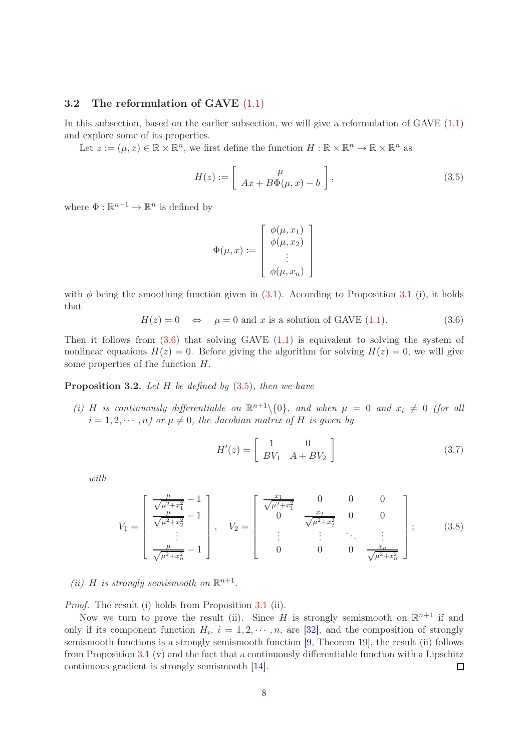#### 3.2 The reformulation of GAVE [\(1.1\)](#page-1-0)

In this subsection, based on the earlier subsection, we will give a reformulation of GAVE [\(1.1\)](#page-1-0) and explore some of its properties.

Let  $z := (\mu, x) \in \mathbb{R} \times \mathbb{R}^n$ , we first define the function  $H : \mathbb{R} \times \mathbb{R}^n \to \mathbb{R} \times \mathbb{R}^n$  as

<span id="page-7-1"></span>
$$
H(z) := \left[ \begin{array}{c} \mu \\ Ax + B\Phi(\mu, x) - b \end{array} \right],
$$
\n(3.5)

where  $\Phi : \mathbb{R}^{n+1} \to \mathbb{R}^n$  is defined by

$$
\Phi(\mu, x) := \begin{bmatrix} \phi(\mu, x_1) \\ \phi(\mu, x_2) \\ \vdots \\ \phi(\mu, x_n) \end{bmatrix}
$$

with  $\phi$  being the smoothing function given in [\(3.1\)](#page-5-1). According to Proposition [3.1](#page-5-2) (i), it holds that

<span id="page-7-0"></span>
$$
H(z) = 0 \quad \Leftrightarrow \quad \mu = 0 \text{ and } x \text{ is a solution of GAVE (1.1).} \tag{3.6}
$$

Then it follows from  $(3.6)$  that solving GAVE  $(1.1)$  is equivalent to solving the system of nonlinear equations  $H(z) = 0$ . Before giving the algorithm for solving  $H(z) = 0$ , we will give some properties of the function H.

<span id="page-7-4"></span>**Proposition 3.2.** Let  $H$  be defined by  $(3.5)$ , then we have

(i) H is continuously differentiable on  $\mathbb{R}^{n+1}\setminus\{0\}$ , and when  $\mu = 0$  and  $x_i \neq 0$  (for all  $i = 1, 2, \dots, n$  or  $\mu \neq 0$ , the Jacobian matrix of H is given by

<span id="page-7-2"></span>
$$
H'(z) = \begin{bmatrix} 1 & 0 \\ BV_1 & A + BV_2 \end{bmatrix}
$$
 (3.7)

with

<span id="page-7-3"></span>
$$
V_1 = \begin{bmatrix} \frac{\mu}{\sqrt{\mu^2 + x_1^2}} - 1 \\ \frac{\mu}{\sqrt{\mu^2 + x_2^2}} - 1 \\ \vdots \\ \frac{\mu}{\sqrt{\mu^2 + x_n^2}} - 1 \end{bmatrix}, \quad V_2 = \begin{bmatrix} \frac{x_1}{\sqrt{\mu^2 + x_1^2}} & 0 & 0 & 0 \\ 0 & \frac{x_2}{\sqrt{\mu^2 + x_2^2}} & 0 & 0 \\ \vdots & \vdots & \ddots & \vdots \\ 0 & 0 & 0 & \frac{x_n}{\sqrt{\mu^2 + x_n^2}} \end{bmatrix}; \quad (3.8)
$$

(ii) H is strongly semismooth on  $\mathbb{R}^{n+1}$ .

*Proof.* The result (i) holds from Proposition [3.1](#page-5-2) (ii).

Now we turn to prove the result (ii). Since H is strongly semismooth on  $\mathbb{R}^{n+1}$  if and only if its component function  $H_i$ ,  $i = 1, 2, \dots, n$ , are [\[32\]](#page-18-17), and the composition of strongly semismooth functions is a strongly semismooth function [\[9,](#page-16-3) Theorem 19], the result (ii) follows from Proposition [3.1](#page-5-2) (v) and the fact that a continuously differentiable function with a Lipschitz continuous gradient is strongly semismooth [\[14\]](#page-17-19).  $\Box$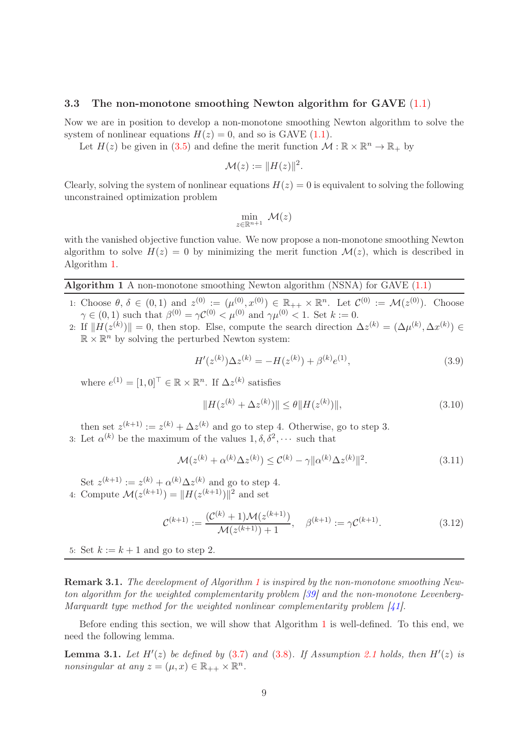#### 3.3 The non-monotone smoothing Newton algorithm for GAVE  $(1.1)$

Now we are in position to develop a non-monotone smoothing Newton algorithm to solve the system of nonlinear equations  $H(z) = 0$ , and so is GAVE [\(1.1\)](#page-1-0).

Let  $H(z)$  be given in [\(3.5\)](#page-7-1) and define the merit function  $\mathcal{M} : \mathbb{R} \times \mathbb{R}^n \to \mathbb{R}_+$  by

$$
\mathcal{M}(z) := \|H(z)\|^2.
$$

Clearly, solving the system of nonlinear equations  $H(z) = 0$  is equivalent to solving the following unconstrained optimization problem

$$
\min_{z\in\mathbb{R}^{n+1}}\,\,\mathcal{M}(z)
$$

with the vanished objective function value. We now propose a non-monotone smoothing Newton algorithm to solve  $H(z) = 0$  by minimizing the merit function  $\mathcal{M}(z)$ , which is described in Algorithm [1.](#page-8-0)

#### <span id="page-8-0"></span>Algorithm 1 A non-monotone smoothing Newton algorithm (NSNA) for GAVE  $(1.1)$

- 1: Choose  $\theta, \delta \in (0,1)$  and  $z^{(0)} := (\mu^{(0)}_0, x^{(0)}) \in \mathbb{R}_{++} \times \mathbb{R}^n$ . Let  $\mathcal{C}^{(0)} := \mathcal{M}(z^{(0)})$ . Choose  $\gamma \in (0,1)$  such that  $\beta^{(0)} = \gamma \mathcal{C}^{(0)} < \mu^{(0)}$  and  $\gamma \mu^{(0)} < 1$ . Set  $k := 0$ .
- 2: If  $||H(z^{(k)})|| = 0$ , then stop. Else, compute the search direction  $\Delta z^{(k)} = (\Delta \mu^{(k)}, \Delta x^{(k)}) \in$  $\mathbb{R}\times\mathbb{R}^n$  by solving the perturbed Newton system:

<span id="page-8-2"></span>
$$
H'(z^{(k)})\Delta z^{(k)} = -H(z^{(k)}) + \beta^{(k)}e^{(1)},\tag{3.9}
$$

where  $e^{(1)} = [1, 0]^\top \in \mathbb{R} \times \mathbb{R}^n$ . If  $\Delta z^{(k)}$  satisfies

<span id="page-8-5"></span>
$$
||H(z^{(k)} + \Delta z^{(k)})|| \le \theta ||H(z^{(k)})||,
$$
\n(3.10)

then set  $z^{(k+1)} := z^{(k)} + \Delta z^{(k)}$  and go to step 4. Otherwise, go to step 3.

3: Let  $\alpha^{(k)}$  be the maximum of the values  $1, \delta, \delta^2, \cdots$  such that

<span id="page-8-4"></span>
$$
\mathcal{M}(z^{(k)} + \alpha^{(k)} \Delta z^{(k)}) \le C^{(k)} - \gamma ||\alpha^{(k)} \Delta z^{(k)}||^2.
$$
 (3.11)

Set  $z^{(k+1)} := z^{(k)} + \alpha^{(k)} \Delta z^{(k)}$  and go to step 4. 4: Compute  $\mathcal{M}(z^{(k+1)}) = ||H(z^{(k+1)})||^2$  and set

<span id="page-8-3"></span>
$$
\mathcal{C}^{(k+1)} := \frac{(\mathcal{C}^{(k)} + 1)\mathcal{M}(z^{(k+1)})}{\mathcal{M}(z^{(k+1)}) + 1}, \quad \beta^{(k+1)} := \gamma \mathcal{C}^{(k+1)}.
$$
\n(3.12)

5: Set  $k := k + 1$  and go to step 2.

Remark 3.[1](#page-8-0). The development of Algorithm 1 is inspired by the non-monotone smoothing Newton algorithm for the weighted complementarity problem [\[39\]](#page-18-13) and the non-monotone Levenberg-Marquardt type method for the weighted nonlinear complementarity problem [\[41\]](#page-18-14).

Before ending this section, we will show that Algorithm [1](#page-8-0) is well-defined. To this end, we need the following lemma.

<span id="page-8-1"></span>**Lemma 3.1.** Let  $H'(z)$  be defined by  $(3.7)$  and  $(3.8)$ . If Assumption [2.1](#page-4-1) holds, then  $H'(z)$  is nonsingular at any  $z = (\mu, x) \in \mathbb{R}_{++} \times \mathbb{R}^n$ .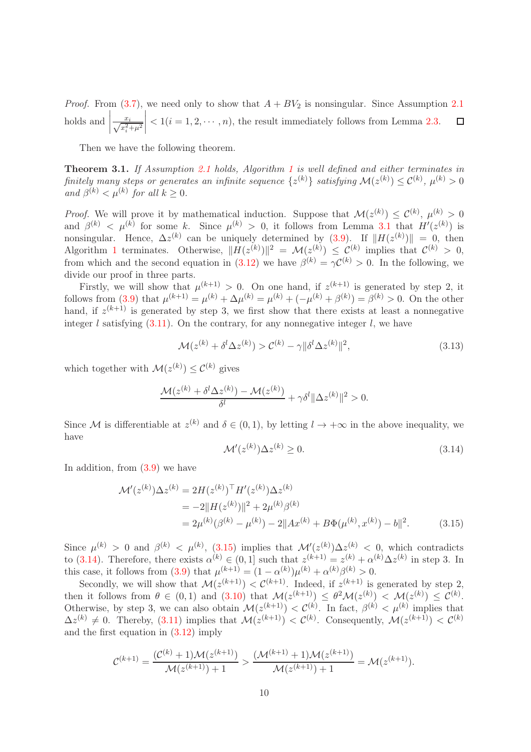*Proof.* From [\(3.7\)](#page-7-2), we need only to show that  $A + BV_2$  is nonsingular. Since Assumption [2.1](#page-4-1) holds and  $\Big|$  $\begin{array}{c} \begin{array}{c} \begin{array}{c} \begin{array}{c} \end{array} \\ \end{array} \\ \begin{array}{c} \end{array} \end{array} \end{array} \end{array}$  $\frac{x_i}{\sqrt{x_i^2 + \mu^2}}$  $\Box$  $< 1(i = 1, 2, \dots, n)$ , the result immediately follows from Lemma [2.3.](#page-4-0)

Then we have the following theorem.

<span id="page-9-2"></span>Theorem 3.1. If Assumption [2.1](#page-4-1) holds, Algorithm [1](#page-8-0) is well defined and either terminates in finitely many steps or generates an infinite sequence  $\{z^{(k)}\}$  satisfying  $\mathcal{M}(z^{(k)}) \leq \mathcal{C}^{(k)}$ ,  $\mu^{(k)} > 0$ and  $\beta^{(k)} < \mu^{(k)}$  for all  $k \geq 0$ .

*Proof.* We will prove it by mathematical induction. Suppose that  $\mathcal{M}(z^{(k)}) \leq \mathcal{C}^{(k)}$ ,  $\mu^{(k)} > 0$ and  $\beta^{(k)} < \mu^{(k)}$  for some k. Since  $\mu^{(k)} > 0$ , it follows from Lemma [3.1](#page-8-1) that  $H'(z^{(k)})$  is nonsingular. Hence,  $\Delta z^{(k)}$  can be uniquely determined by [\(3.9\)](#page-8-2). If  $||H(z^{(k)})|| = 0$ , then Algorithm [1](#page-8-0) terminates. Otherwise,  $||H(z^{(k)})||^2 = \mathcal{M}(z^{(k)}) \leq \mathcal{C}^{(k)}$  implies that  $\mathcal{C}^{(k)} > 0$ , from which and the second equation in [\(3.12\)](#page-8-3) we have  $\beta^{(k)} = \gamma \mathcal{C}^{(k)} > 0$ . In the following, we divide our proof in three parts.

Firstly, we will show that  $\mu^{(k+1)} > 0$ . On one hand, if  $z^{(k+1)}$  is generated by step 2, it follows from [\(3.9\)](#page-8-2) that  $\mu^{(k+1)} = \mu^{(k)} + \Delta \mu^{(k)} = \mu^{(k)} + (-\mu^{(k)} + \beta^{(k)}) = \beta^{(k)} > 0$ . On the other hand, if  $z^{(k+1)}$  is generated by step 3, we first show that there exists at least a nonnegative integer l satisfying  $(3.11)$ . On the contrary, for any nonnegative integer l, we have

$$
\mathcal{M}(z^{(k)} + \delta^l \Delta z^{(k)}) > \mathcal{C}^{(k)} - \gamma \|\delta^l \Delta z^{(k)}\|^2,\tag{3.13}
$$

which together with  $\mathcal{M}(z^{(k)}) \leq \mathcal{C}^{(k)}$  gives

$$
\frac{\mathcal{M}(z^{(k)}+\delta^{l}\Delta z^{(k)})-\mathcal{M}(z^{(k)})}{\delta^{l}}+\gamma\delta^{l}\|\Delta z^{(k)}\|^{2}>0.
$$

Since M is differentiable at  $z^{(k)}$  and  $\delta \in (0,1)$ , by letting  $l \to +\infty$  in the above inequality, we have

<span id="page-9-1"></span><span id="page-9-0"></span>
$$
\mathcal{M}'(z^{(k)})\Delta z^{(k)} \ge 0. \tag{3.14}
$$

In addition, from [\(3.9\)](#page-8-2) we have

$$
\mathcal{M}'(z^{(k)})\Delta z^{(k)} = 2H(z^{(k)})^{\top}H'(z^{(k)})\Delta z^{(k)}
$$
  
= -2||H(z^{(k)})||<sup>2</sup> + 2\mu<sup>(k)</sup>β<sup>(k)</sup>  
= 2\mu<sup>(k)</sup>(β<sup>(k)</sup> – μ<sup>(k)</sup>) – 2||Ax<sup>(k)</sup> + BΦ(μ<sup>(k)</sup>, x<sup>(k)</sup>) – b||<sup>2</sup>. (3.15)

Since  $\mu^{(k)} > 0$  and  $\beta^{(k)} < \mu^{(k)}$ , [\(3.15\)](#page-9-0) implies that  $\mathcal{M}'(z^{(k)})\Delta z^{(k)} < 0$ , which contradicts to [\(3.14\)](#page-9-1). Therefore, there exists  $\alpha^{(k)} \in (0,1]$  such that  $z^{(k+1)} = z^{(k)} + \alpha^{(k)} \Delta z^{(k)}$  in step 3. In this case, it follows from [\(3.9\)](#page-8-2) that  $\mu^{(k+1)} = (1 - \alpha^{(k)}) \mu^{(k)} + \alpha^{(k)} \beta^{(k)} > 0$ .

Secondly, we will show that  $\mathcal{M}(z^{(k+1)}) < C^{(k+1)}$ . Indeed, if  $z^{(k+1)}$  is generated by step 2, then it follows from  $\theta \in (0,1)$  and  $(3.10)$  that  $\mathcal{M}(z^{(k+1)}) \leq \theta^2 \mathcal{M}(z^{(k)}) \leq \mathcal{M}(z^{(k)}) \leq \mathcal{C}^{(k)}$ . Otherwise, by step 3, we can also obtain  $\mathcal{M}(z^{(k+1)}) < \mathcal{C}^{(k)}$ . In fact,  $\beta^{(k)} < \mu^{(k)}$  implies that  $\Delta z^{(k)} \neq 0$ . Thereby, [\(3.11\)](#page-8-4) implies that  $\mathcal{M}(z^{(k+1)}) < \mathcal{C}^{(k)}$ . Consequently,  $\mathcal{M}(z^{(k+1)}) < \mathcal{C}^{(k)}$ and the first equation in [\(3.12\)](#page-8-3) imply

$$
\mathcal{C}^{(k+1)} = \frac{(\mathcal{C}^{(k)} + 1)\mathcal{M}(z^{(k+1)})}{\mathcal{M}(z^{(k+1)}) + 1} > \frac{(\mathcal{M}^{(k+1)} + 1)\mathcal{M}(z^{(k+1)})}{\mathcal{M}(z^{(k+1)}) + 1} = \mathcal{M}(z^{(k+1)}).
$$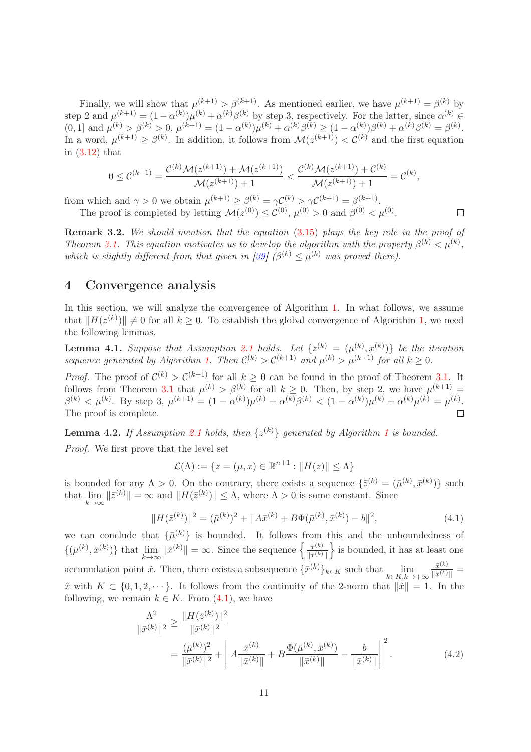Finally, we will show that  $\mu^{(k+1)} > \beta^{(k+1)}$ . As mentioned earlier, we have  $\mu^{(k+1)} = \beta^{(k)}$  by step 2 and  $\mu^{(k+1)} = (1 - \alpha^{(k)})\mu^{(k)} + \alpha^{(k)}\beta^{(k)}$  by step 3, respectively. For the latter, since  $\alpha^{(k)} \in$  $(0, 1]$  and  $\mu^{(k)} > \beta^{(k)} > 0$ ,  $\mu^{(k+1)} = (1 - \alpha^{(k)})\mu^{(k)} + \alpha^{(k)}\beta^{(k)} \ge (1 - \alpha^{(k)})\beta^{(k)} + \alpha^{(k)}\beta^{(k)} = \beta^{(k)}$ . In a word,  $\mu^{(k+1)} \geq \beta^{(k)}$ . In addition, it follows from  $\mathcal{M}(z^{(k+1)}) < \mathcal{C}^{(k)}$  and the first equation in [\(3.12\)](#page-8-3) that

$$
0 \leq C^{(k+1)} = \frac{\mathcal{C}^{(k)}\mathcal{M}(z^{(k+1)}) + \mathcal{M}(z^{(k+1)})}{\mathcal{M}(z^{(k+1)}) + 1} < \frac{\mathcal{C}^{(k)}\mathcal{M}(z^{(k+1)}) + \mathcal{C}^{(k)}}{\mathcal{M}(z^{(k+1)}) + 1} = \mathcal{C}^{(k)},
$$

 $\Box$ 

from which and  $\gamma > 0$  we obtain  $\mu^{(k+1)} \geq \beta^{(k)} = \gamma C^{(k)} > \gamma C^{(k+1)} = \beta^{(k+1)}$ . The proof is completed by letting  $\mathcal{M}(z^{(0)}) \leq \mathcal{C}^{(0)}$ ,  $\mu^{(0)} > 0$  and  $\beta^{(0)} < \mu^{(0)}$ .

Remark 3.2. We should mention that the equation [\(3.15\)](#page-9-0) plays the key role in the proof of Theorem [3.1.](#page-9-2) This equation motivates us to develop the algorithm with the property  $\beta^{(k)} < \mu^{(k)}$ , which is slightly different from that given in [\[39\]](#page-18-13)  $(\beta^{(k)} \leq \mu^{(k)}$  was proved there).

## <span id="page-10-0"></span>4 Convergence analysis

In this section, we will analyze the convergence of Algorithm [1.](#page-8-0) In what follows, we assume that  $||H(z^{(k)})|| \neq 0$  for all  $k \geq 0$ . To establish the global convergence of Algorithm [1,](#page-8-0) we need the following lemmas.

<span id="page-10-4"></span>**Lemma 4.1.** Suppose that Assumption [2.1](#page-4-1) holds. Let  $\{z^{(k)} = (\mu^{(k)}, x^{(k)})\}$  be the iteration sequence generated by Algorithm [1.](#page-8-0) Then  $\mathcal{C}^{(k)} > \mathcal{C}^{(k+1)}$  and  $\mu^{(k)} > \mu^{(k+1)}$  for all  $k \geq 0$ .

*Proof.* The proof of  $\mathcal{C}^{(k)} > \mathcal{C}^{(k+1)}$  for all  $k \geq 0$  can be found in the proof of Theorem [3.1.](#page-9-2) It follows from Theorem [3.1](#page-9-2) that  $\mu^{(k)} > \beta^{(k)}$  for all  $k \geq 0$ . Then, by step 2, we have  $\mu^{(k+1)} =$  $\beta^{(k)} < \mu^{(k)}$ . By step 3,  $\mu^{(k+1)} = (1 - \alpha^{(k)})\mu^{(k)} + \alpha^{(k)}\beta^{(k)} < (1 - \alpha^{(k)})\mu^{(k)} + \alpha^{(k)}\mu^{(k)} = \mu^{(k)}$ . The proof is complete.

<span id="page-10-3"></span>**Lemma 4.2.** If Assumption [2.1](#page-4-1) holds, then  $\{z^{(k)}\}$  generated by Algorithm [1](#page-8-0) is bounded. Proof. We first prove that the level set

$$
\mathcal{L}(\Lambda) := \{ z = (\mu, x) \in \mathbb{R}^{n+1} : ||H(z)|| \leq \Lambda \}
$$

is bounded for any  $\Lambda > 0$ . On the contrary, there exists a sequence  $\{\bar{z}^{(k)} = (\bar{\mu}^{(k)}, \bar{x}^{(k)})\}$  such that  $\lim_{k \to \infty} ||\bar{z}^{(k)}|| = \infty$  and  $||H(\bar{z}^{(k)})|| \leq \Lambda$ , where  $\Lambda > 0$  is some constant. Since

<span id="page-10-1"></span>
$$
||H(\bar{z}^{(k)})||^2 = (\bar{\mu}^{(k)})^2 + ||A\bar{x}^{(k)} + B\Phi(\bar{\mu}^{(k)}, \bar{x}^{(k)}) - b||^2,
$$
\n(4.1)

we can conclude that  $\{\bar{\mu}^{(k)}\}$  is bounded. It follows from this and the unboundedness of  $\{(\bar{\mu}^{(k)}, \bar{x}^{(k)})\}$  that  $\lim_{k\to\infty} \|\bar{x}^{(k)}\| = \infty$ . Since the sequence  $\left\{\frac{\bar{x}^{(k)}}{\|\bar{x}^{(k)}\|}\right\}$  $\|\bar{x}^{(k)}\|$  $\}$  is bounded, it has at least one accumulation point  $\hat{x}$ . Then, there exists a subsequence  $\{\bar{x}^{(k)}\}_{k \in K}$  such that  $\lim_{k \in K, k \to +\infty}$  $\bar{x}^{(k)}$  $\frac{x^{(k)}}{\|\bar{x}^{(k)}\|} =$  $\hat{x}$  with  $K \subset \{0, 1, 2, \dots\}$ . It follows from the continuity of the 2-norm that  $\|\hat{x}\| = 1$ . In the following, we remain  $k \in K$ . From  $(4.1)$ , we have

<span id="page-10-2"></span>
$$
\frac{\Lambda^2}{\|\bar{x}^{(k)}\|^2} \ge \frac{\|H(\bar{z}^{(k)})\|^2}{\|\bar{x}^{(k)}\|^2} \n= \frac{(\bar{\mu}^{(k)})^2}{\|\bar{x}^{(k)}\|^2} + \left\|A\frac{\bar{x}^{(k)}}{\|\bar{x}^{(k)}\|} + B\frac{\Phi(\bar{\mu}^{(k)}, \bar{x}^{(k)})}{\|\bar{x}^{(k)}\|} - \frac{b}{\|\bar{x}^{(k)}\|} \right\|^2.
$$
\n(4.2)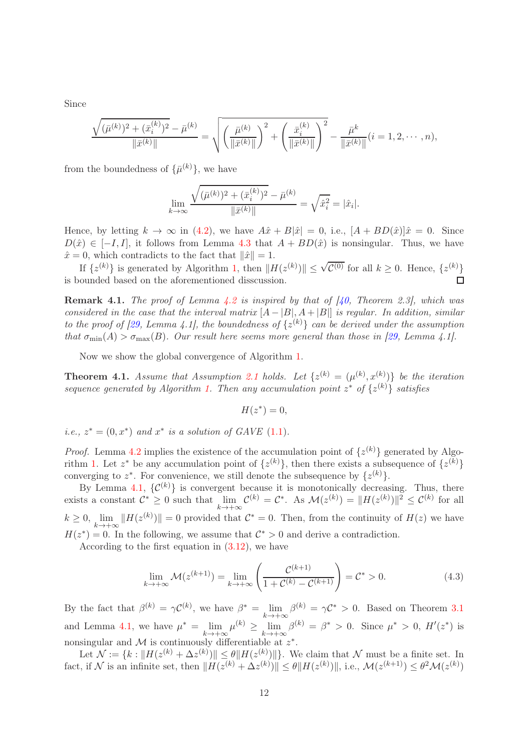Since

$$
\frac{\sqrt{(\bar{\mu}^{(k)})^2 + (\bar{x}_i^{(k)})^2} - \bar{\mu}^{(k)}}{\|\bar{x}^{(k)}\|} = \sqrt{\left(\frac{\bar{\mu}^{(k)}}{\|\bar{x}^{(k)}\|}\right)^2 + \left(\frac{\bar{x}_i^{(k)}}{\|\bar{x}^{(k)}\|}\right)^2} - \frac{\bar{\mu}^k}{\|\bar{x}^{(k)}\|} (i = 1, 2, \cdots, n),
$$

from the boundedness of  $\{\bar{\mu}^{(k)}\}\,$  we have

$$
\lim_{k \to \infty} \frac{\sqrt{(\bar{\mu}^{(k)})^2 + (\bar{x}_i^{(k)})^2} - \bar{\mu}^{(k)}}{\|\bar{x}^{(k)}\|} = \sqrt{\hat{x}_i^2} = |\hat{x}_i|.
$$

Hence, by letting  $k \to \infty$  in [\(4.2\)](#page-10-2), we have  $A\hat{x} + B|\hat{x}| = 0$ , i.e.,  $[A + BD(\hat{x})]\hat{x} = 0$ . Since  $D(\hat{x}) \in [-I, I],$  it follows from Lemma [4.3](#page-12-0) that  $A + BD(\hat{x})$  is nonsingular. Thus, we have  $\hat{x} = 0$ , which contradicts to the fact that  $\|\hat{x}\| = 1$ .

If  $\{z^{(k)}\}$  is generated by Algorithm [1,](#page-8-0) then  $||H(z^{(k)})|| \leq \sqrt{\mathcal{C}^{(0)}}$  for all  $k \geq 0$ . Hence,  $\{z^{(k)}\}$ is bounded based on the aforementioned disscussion.

**Remark 4.1.** The proof of Lemma [4.2](#page-10-3) is inspired by that of [\[40,](#page-18-10) Theorem 2.3], which was considered in the case that the interval matrix  $[A - |B|, A + |B|]$  is regular. In addition, similar to the proof of [\[29,](#page-17-14) Lemma 4.1], the boundedness of  $\{z^{(k)}\}$  can be derived under the assumption that  $\sigma_{\min}(A) > \sigma_{\max}(B)$ . Our result here seems more general than those in [\[29,](#page-17-14) Lemma 4.1].

Now we show the global convergence of Algorithm [1.](#page-8-0)

<span id="page-11-1"></span>**Theorem 4.1.** Assume that Assumption [2.1](#page-4-1) holds. Let  $\{z^{(k)} = (\mu^{(k)}, x^{(k)})\}$  be the iteration sequence generated by Algorithm [1.](#page-8-0) Then any accumulation point  $z^*$  of  $\{z^{(k)}\}$  satisfies

$$
H(z^*)=0,
$$

*i.e.*,  $z^* = (0, x^*)$  and  $x^*$  is a solution of GAVE  $(1.1)$ .

*Proof.* Lemma [4.2](#page-10-3) implies the existence of the accumulation point of  $\{z^{(k)}\}$  generated by Algo-rithm [1.](#page-8-0) Let  $z^*$  be any accumulation point of  $\{z^{(k)}\}$ , then there exists a subsequence of  $\{z^{(k)}\}$ converging to  $z^*$ . For convenience, we still denote the subsequence by  $\{z^{(k)}\}$ .

By Lemma [4.1,](#page-10-4)  $\{\mathcal{C}^{(k)}\}$  is convergent because it is monotonically decreasing. Thus, there exists a constant  $\mathcal{C}^* \geq 0$  such that  $\lim_{k \to +\infty} \mathcal{C}^{(k)} = \mathcal{C}^*$ . As  $\mathcal{M}(z^{(k)}) = ||H(z^{(k)})||^2 \leq \mathcal{C}^{(k)}$  for all  $k \geq 0$ ,  $\lim_{k \to +\infty} ||H(z^{(k)})|| = 0$  provided that  $\mathcal{C}^* = 0$ . Then, from the continuity of  $H(z)$  we have  $H(z^*) = 0$ . In the following, we assume that  $\mathcal{C}^* > 0$  and derive a contradiction.

According to the first equation in [\(3.12\)](#page-8-3), we have

<span id="page-11-0"></span>
$$
\lim_{k \to +\infty} \mathcal{M}(z^{(k+1)}) = \lim_{k \to +\infty} \left( \frac{\mathcal{C}^{(k+1)}}{1 + \mathcal{C}^{(k)} - \mathcal{C}^{(k+1)}} \right) = \mathcal{C}^* > 0.
$$
 (4.3)

By the fact that  $\beta^{(k)} = \gamma C^{(k)}$ , we have  $\beta^* = \lim_{k \to +\infty} \beta^{(k)} = \gamma C^* > 0$ . Based on Theorem [3.1](#page-9-2) and Lemma [4.1,](#page-10-4) we have  $\mu^* = \lim_{k \to +\infty} \mu^{(k)} \ge \lim_{k \to +\infty} \beta^{(k)} = \beta^* > 0$ . Since  $\mu^* > 0$ ,  $H'(z^*)$  is nonsingular and M is continuously differentiable at  $z^*$ .

Let  $\mathcal{N} := \{k : ||H(z^{(k)} + \Delta z^{(k)})|| \leq \theta ||H(z^{(k)})||\}$ . We claim that  $\mathcal N$  must be a finite set. In fact, if N is an infinite set, then  $||H(z^{(k)} + \Delta z^{(k)})|| \le \theta ||H(z^{(k)})||$ , i.e.,  $\mathcal{M}(z^{(k+1)}) \le \theta^2 \mathcal{M}(z^{(k)})$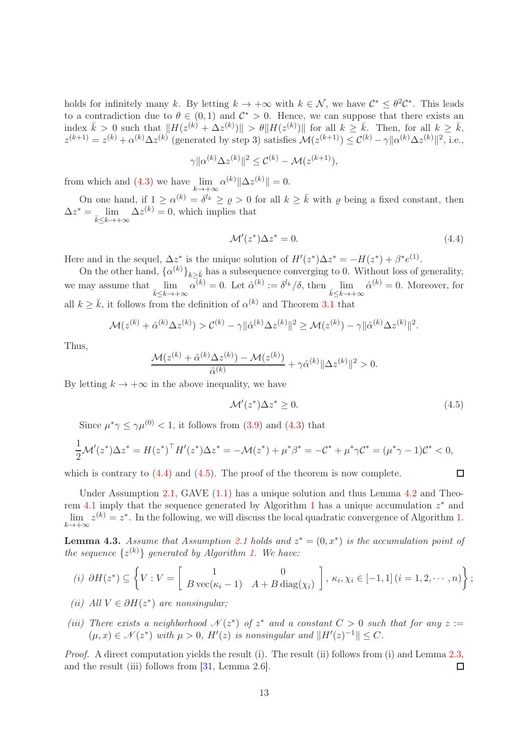holds for infinitely many k. By letting  $k \to +\infty$  with  $k \in \mathcal{N}$ , we have  $\mathcal{C}^* \leq \theta^2 \mathcal{C}^*$ . This leads to a contradiction due to  $\theta \in (0,1)$  and  $\mathcal{C}^* > 0$ . Hence, we can suppose that there exists an index  $\bar{k} > 0$  such that  $||H(z^{(k)} + \Delta z^{(k)})|| > \theta ||H(z^{(k)})||$  for all  $k \geq \bar{k}$ . Then, for all  $k \geq \bar{k}$ ,  $z^{(k+1)} = z^{(k)} + \alpha^{(k)}\Delta z^{(k)}$  (generated by step 3) satisfies  $\mathcal{M}(z^{(k+1)}) \leq \mathcal{C}^{(k)} - \gamma ||\alpha^{(k)}\Delta z^{(k)}||^2$ , i.e.,

$$
\gamma \|\alpha^{(k)}\Delta z^{(k)}\|^2 \leq C^{(k)} - \mathcal{M}(z^{(k+1)}),
$$

from which and [\(4.3\)](#page-11-0) we have  $\lim_{k \to +\infty} \alpha^{(k)} \|\Delta z^{(k)}\| = 0.$ 

On one hand, if  $1 \ge \alpha^{(k)} = \delta^{l_k} \ge \varrho > 0$  for all  $k \ge \overline{k}$  with  $\varrho$  being a fixed constant, then  $\Delta z^* = \lim_{k \to \infty} \Delta z^{(k)} = 0$ , which implies that  $k< k \rightarrow +\infty$ 

<span id="page-12-1"></span>
$$
\mathcal{M}'(z^*)\Delta z^* = 0. \tag{4.4}
$$

Here and in the sequel,  $\Delta z^*$  is the unique solution of  $H'(z^*)\Delta z^* = -H(z^*) + \beta^* e^{(1)}$ .

On the other hand,  $\{\alpha^{(k)}\}_{k\geq \bar{k}}$  has a subsequence converging to 0. Without loss of generality, we may assume that  $\lim_{\bar{k}\leq k\to+\infty} \alpha^{(k)}=0$ . Let  $\hat{\alpha}^{(k)}:=\delta^{l_k}/\delta$ , then  $\lim_{\bar{k}\leq k\to+\infty} \hat{\alpha}^{(k)}=0$ . Moreover, for all  $k \geq \bar{k}$ , it follows from the definition of  $\alpha^{(k)}$  and Theorem [3.1](#page-9-2) that

$$
\mathcal{M}(z^{(k)} + \hat{\alpha}^{(k)} \Delta z^{(k)}) > \mathcal{C}^{(k)} - \gamma ||\hat{\alpha}^{(k)} \Delta z^{(k)}||^2 \ge \mathcal{M}(z^{(k)}) - \gamma ||\hat{\alpha}^{(k)} \Delta z^{(k)}||^2.
$$

Thus,

$$
\frac{\mathcal{M}(z^{(k)}+\hat{\alpha}^{(k)}\Delta z^{(k)})-\mathcal{M}(z^{(k)})}{\hat{\alpha}^{(k)}}+\gamma \hat{\alpha}^{(k)}\|\Delta z^{(k)}\|^2>0.
$$

By letting  $k \to +\infty$  in the above inequality, we have

<span id="page-12-2"></span>
$$
\mathcal{M}'(z^*)\Delta z^* \ge 0. \tag{4.5}
$$

Since  $\mu^* \gamma \leq \gamma \mu^{(0)} < 1$ , it follows from [\(3.9\)](#page-8-2) and [\(4.3\)](#page-11-0) that

$$
\frac{1}{2}\mathcal{M}'(z^*)\Delta z^* = H(z^*)^\top H'(z^*)\Delta z^* = -\mathcal{M}(z^*) + \mu^* \beta^* = -\mathcal{C}^* + \mu^* \gamma \mathcal{C}^* = (\mu^* \gamma - 1)\mathcal{C}^* < 0,
$$

which is contrary to  $(4.4)$  and  $(4.5)$ . The proof of the theorem is now complete.

Under Assumption [2.1,](#page-4-1) GAVE [\(1.1\)](#page-1-0) has a unique solution and thus Lemma [4.2](#page-10-3) and Theo-rem [4.1](#page-11-1) imply that the sequence generated by Algorithm [1](#page-8-0) has a unique accumulation  $z^*$  and  $\lim_{k \to +\infty} z^{(k)} = z^*$ . In the following, we will discuss the local quadratic convergence of Algorithm [1.](#page-8-0)

<span id="page-12-0"></span>**Lemma 4.3.** Assume that Assumption [2.1](#page-4-1) holds and  $z^* = (0, x^*)$  is the accumulation point of the sequence  $\{z^{(k)}\}$  generated by Algorithm [1.](#page-8-0) We have:

(i) 
$$
\partial H(z^*) \subseteq \left\{ V : V = \begin{bmatrix} 1 & 0 \\ B \operatorname{vec}(\kappa_i - 1) & A + B \operatorname{diag}(\chi_i) \end{bmatrix}, \kappa_i, \chi_i \in [-1, 1] \ (i = 1, 2, \dots, n) \right\};
$$

(ii) All 
$$
V \in \partial H(z^*)
$$
 are nonsingular;

(iii) There exists a neighborhood  $\mathcal{N}(z^*)$  of  $z^*$  and a constant  $C > 0$  such that for any  $z :=$  $(\mu, x) \in \mathcal{N}(z^*)$  with  $\mu > 0$ ,  $H'(z)$  is nonsingular and  $\|H'(z)^{-1}\| \leq C$ .

Proof. A direct computation yields the result (i). The result (ii) follows from (i) and Lemma [2.3,](#page-4-0) and the result (iii) follows from [\[31,](#page-18-16) Lemma 2.6]. □

 $\Box$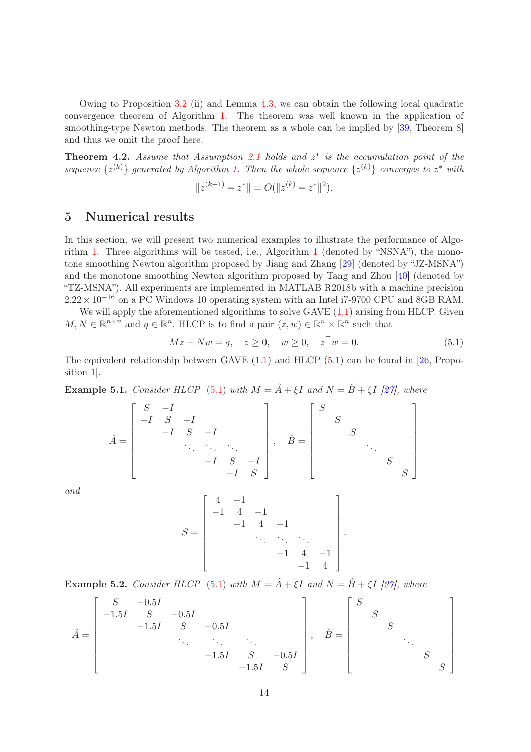Owing to Proposition [3.2](#page-7-4) (ii) and Lemma [4.3,](#page-12-0) we can obtain the following local quadratic convergence theorem of Algorithm [1.](#page-8-0) The theorem was well known in the application of smoothing-type Newton methods. The theorem as a whole can be implied by [\[39,](#page-18-13) Theorem 8] and thus we omit the proof here.

**Theorem 4.2.** Assume that Assumption [2.1](#page-4-1) holds and  $z^*$  is the accumulation point of the sequence  $\{z^{(k)}\}$  generated by Algorithm [1.](#page-8-0) Then the whole sequence  $\{z^{(k)}\}$  converges to  $z^*$  with

$$
||z^{(k+1)} - z^*|| = O(||z^{(k)} - z^*||^2).
$$

# <span id="page-13-0"></span>5 Numerical results

In this section, we will present two numerical examples to illustrate the performance of Algorithm [1.](#page-8-0) Three algorithms will be tested, i.e., Algorithm [1](#page-8-0) (denoted by "NSNA"), the monotone smoothing Newton algorithm proposed by Jiang and Zhang [\[29\]](#page-17-14) (denoted by "JZ-MSNA") and the monotone smoothing Newton algorithm proposed by Tang and Zhou [\[40\]](#page-18-10) (denoted by "TZ-MSNA"). All experiments are implemented in MATLAB R2018b with a machine precision  $2.22 \times 10^{-16}$  on a PC Windows 10 operating system with an Intel i7-9700 CPU and 8GB RAM.

We will apply the aforementioned algorithms to solve GAVE  $(1.1)$  arising from HLCP. Given  $M, N \in \mathbb{R}^{n \times n}$  and  $q \in \mathbb{R}^n$ , HLCP is to find a pair  $(z, w) \in \mathbb{R}^n \times \mathbb{R}^n$  such that

<span id="page-13-1"></span>
$$
Mz - Nw = q, \quad z \ge 0, \quad w \ge 0, \quad z^{\top}w = 0.
$$
 (5.1)

The equivalent relationship between GAVE  $(1.1)$  and HLCP  $(5.1)$  can be found in [\[26,](#page-17-3) Proposition 1].

<span id="page-13-2"></span>**Example 5.1.** Consider HLCP [\(5.1\)](#page-13-1) with  $M = \hat{A} + \xi I$  and  $N = \hat{B} + \zeta I$  [\[27\]](#page-17-8), where

$$
\hat{A} = \begin{bmatrix} S & -I & & & \\ -I & S & -I & & \\ & -I & S & -I & \\ & & \ddots & \ddots & \ddots & \\ & & & -I & S & -I \\ & & & & -I & S \end{bmatrix}, \quad \hat{B} = \begin{bmatrix} S & & & & \\ & S & & & \\ & & S & & \\ & & & \ddots & \\ & & & & S & \\ & & & & S \end{bmatrix}
$$

and

$$
S = \begin{bmatrix} 4 & -1 & & & \\ -1 & 4 & -1 & & \\ & -1 & 4 & -1 & \\ & & \ddots & \ddots & \ddots \\ & & & -1 & 4 & -1 \\ & & & & -1 & 4 \end{bmatrix}.
$$

<span id="page-13-3"></span>**Example 5.2.** Consider HLCP [\(5.1\)](#page-13-1) with  $M = \hat{A} + \xi I$  and  $N = \hat{B} + \zeta I$  [\[27\]](#page-17-8), where

$$
\hat{A} = \begin{bmatrix}\nS & -0.5I & & & & \\
-1.5I & S & -0.5I & & & \\
& \ddots & \ddots & \ddots & \ddots & \\
& & \ddots & \ddots & \ddots & \ddots \\
& & & -1.5I & S & -0.5I \\
& & & & -1.5I & S\n\end{bmatrix}, \quad \hat{B} = \begin{bmatrix}\nS & & & & \\
& S & & & \\
& & S & & \\
& & & \ddots & \\
& & & & S\n\end{bmatrix}
$$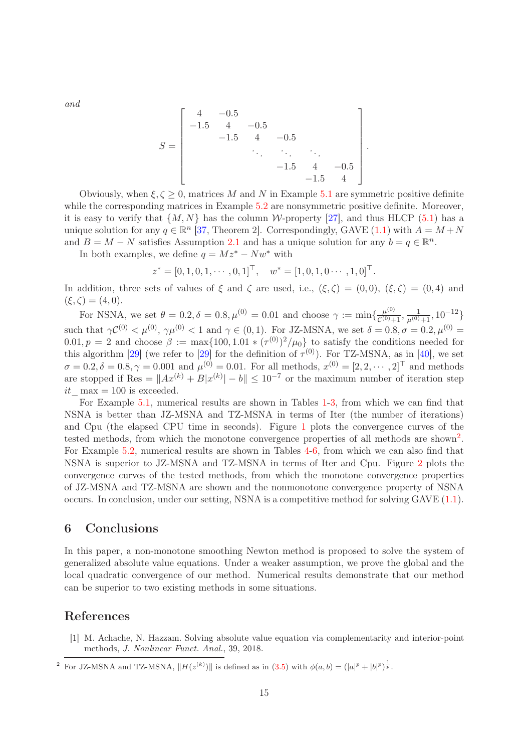and

$$
S = \begin{bmatrix} 4 & -0.5 & & & & \\ -1.5 & 4 & -0.5 & & & \\ & -1.5 & 4 & -0.5 & & \\ & & \ddots & \ddots & \ddots & \\ & & & -1.5 & 4 & -0.5 \\ & & & & -1.5 & 4 \end{bmatrix}
$$

.

Obviously, when  $\xi, \zeta > 0$ , matrices M and N in Example [5.1](#page-13-2) are symmetric positive definite while the corresponding matrices in Example [5.2](#page-13-3) are nonsymmetric positive definite. Moreover, it is easy to verify that  $\{M, N\}$  has the column W-property [\[27\]](#page-17-8), and thus HLCP [\(5.1\)](#page-13-1) has a unique solution for any  $q \in \mathbb{R}^n$  [\[37,](#page-18-15) Theorem 2]. Correspondingly, GAVE [\(1.1\)](#page-1-0) with  $A = M + N$ and  $B = M - N$  satisfies Assumption [2.1](#page-4-1) and has a unique solution for any  $b = q \in \mathbb{R}^n$ .

In both examples, we define  $q = Mz^* - Nw^*$  with

$$
z^* = [0, 1, 0, 1, \cdots, 0, 1]^\top, \quad w^* = [1, 0, 1, 0 \cdots, 1, 0]^\top.
$$

In addition, three sets of values of  $\xi$  and  $\zeta$  are used, i.e.,  $(\xi, \zeta) = (0, 0)$ ,  $(\xi, \zeta) = (0, 4)$  and  $(\xi, \zeta) = (4, 0).$ 

For NSNA, we set  $\theta = 0.2, \delta = 0.8, \mu^{(0)} = 0.01$  and choose  $\gamma := \min\{\frac{\mu^{(0)}}{\mathcal{C}^{(0)}+1}\}$  $\frac{\mu^{(0)}}{\mathcal{C}^{(0)}+1}, \frac{1}{\mu^{(0)}+1}, 10^{-12}$ such that  $\gamma C^{(0)} < \mu^{(0)}$ ,  $\gamma \mu^{(0)} < 1$  and  $\gamma \in (0, 1)$ . For JZ-MSNA, we set  $\delta = 0.8$ ,  $\sigma = 0.2$ ,  $\mu^{(0)} =$  $(0.01, p = 2 \text{ and choose } \beta := \max\{100, 1.01 \times (\tau^{(0)})^2 / \mu_0\}$  to satisfy the conditions needed for this algorithm [\[29\]](#page-17-14) (we refer to [29] for the definition of  $\tau^{(0)}$ ). For TZ-MSNA, as in [\[40\]](#page-18-10), we set  $\sigma = 0.2, \delta = 0.8, \gamma = 0.001$  and  $\mu^{(0)} = 0.01$ . For all methods,  $x^{(0)} = [2, 2, \cdots, 2]^T$  and methods are stopped if Res =  $||Ax^{(k)} + B|x^{(k)}| - b|| \le 10^{-7}$  or the maximum number of iteration step it  $\max = 100$  is exceeded.

For Example [5.1,](#page-13-2) numerical results are shown in Tables [1-](#page-15-4)[3,](#page-15-5) from which we can find that NSNA is better than JZ-MSNA and TZ-MSNA in terms of Iter (the number of iterations) and Cpu (the elapsed CPU time in seconds). Figure [1](#page-20-0) plots the convergence curves of the tested methods, from which the monotone convergence properties of all methods are shown<sup>2</sup>. For Example [5.2,](#page-13-3) numerical results are shown in Tables [4-](#page-16-4)[6,](#page-16-5) from which we can also find that NSNA is superior to JZ-MSNA and TZ-MSNA in terms of Iter and Cpu. Figure [2](#page-21-0) plots the convergence curves of the tested methods, from which the monotone convergence properties of JZ-MSNA and TZ-MSNA are shown and the nonmonotone convergence property of NSNA occurs. In conclusion, under our setting, NSNA is a competitive method for solving GAVE [\(1.1\)](#page-1-0).

## <span id="page-14-1"></span>6 Conclusions

In this paper, a non-monotone smoothing Newton method is proposed to solve the system of generalized absolute value equations. Under a weaker assumption, we prove the global and the local quadratic convergence of our method. Numerical results demonstrate that our method can be superior to two existing methods in some situations.

## <span id="page-14-0"></span>References

[1] M. Achache, N. Hazzam. Solving absolute value equation via complementarity and interior-point methods, *J. Nonlinear Funct. Anal.*, 39, 2018.

<sup>&</sup>lt;sup>2</sup> For JZ-MSNA and TZ-MSNA,  $||H(z^{(k)})||$  is defined as in [\(3.5\)](#page-7-1) with  $\phi(a, b) = (|a|^p + |b|^p)^{\frac{1}{p}}$ .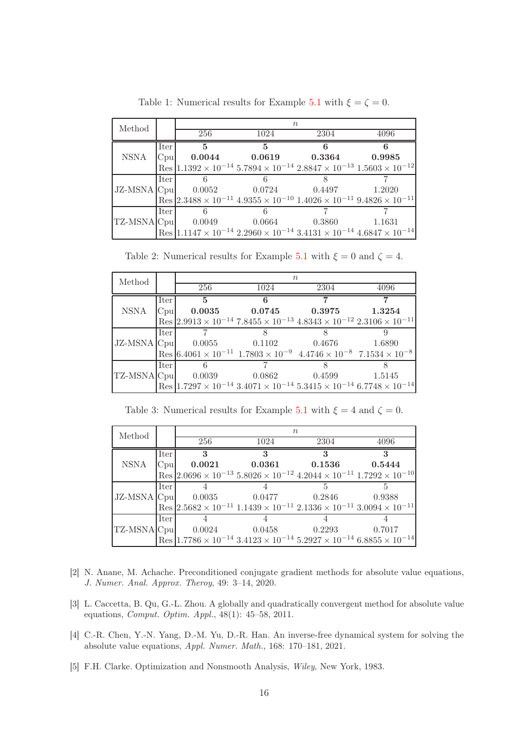<span id="page-15-4"></span>

| Method      |        | $n_{\rm }$ |                                          |      |                                                                                                                          |  |
|-------------|--------|------------|------------------------------------------|------|--------------------------------------------------------------------------------------------------------------------------|--|
|             |        | 256        | 1024                                     | 2304 | 4096                                                                                                                     |  |
|             | Iter   | -5         | 5                                        | 6    |                                                                                                                          |  |
| <b>NSNA</b> |        |            | $ C_{\text{pul}} $ 0.0044 0.0619 0.3364  |      | $\,0.9985\,$                                                                                                             |  |
|             |        |            |                                          |      | $\text{Res}$ 1.1392 × 10 <sup>-14</sup> 5.7894 × 10 <sup>-14</sup> 2.8847 × 10 <sup>-13</sup> 1.5603 × 10 <sup>-12</sup> |  |
|             | Iter   |            |                                          |      |                                                                                                                          |  |
|             |        |            | $JZ-MSNA$ Cpu $0.0052$ $0.0724$ $0.4497$ |      | 1.2020                                                                                                                   |  |
|             |        |            |                                          |      | $\text{Res}$ 2.3488 × 10 <sup>-11</sup> 4.9355 × 10 <sup>-10</sup> 1.4026 × 10 <sup>-11</sup> 9.4826 × 10 <sup>-11</sup> |  |
|             | Iter I |            |                                          |      |                                                                                                                          |  |
|             |        |            | $TZ-MSNA Cpu $ 0.0049 0.0664 0.3860      |      | 1.1631                                                                                                                   |  |
|             |        |            |                                          |      | $\text{Res}$ 1.1147 × 10 <sup>-14</sup> 2.2960 × 10 <sup>-14</sup> 3.4131 × 10 <sup>-14</sup> 4.6847 × 10 <sup>-14</sup> |  |

Table 1: Numerical results for Example [5.1](#page-13-2) with  $\xi = \zeta = 0$ .

Table 2: Numerical results for Example [5.1](#page-13-2) with  $\xi = 0$  and  $\zeta = 4$ .

| Method |        | $n_{\rm }$                                                                                                               |      |      |      |  |
|--------|--------|--------------------------------------------------------------------------------------------------------------------------|------|------|------|--|
|        |        | 256                                                                                                                      | 1024 | 2304 | 4096 |  |
|        | Iter   | 5 <sup>5</sup>                                                                                                           | 6    | 7    |      |  |
| NSNA   |        | $ C_{\text{pul}} $ 0.0035 0.0745 0.3975 1.3254                                                                           |      |      |      |  |
|        |        | $\text{Res}$ 2.9913 × 10 <sup>-14</sup> 7.8455 × 10 <sup>-13</sup> 4.8343 × 10 <sup>-12</sup> 2.3106 × 10 <sup>-11</sup> |      |      |      |  |
|        | Iter   |                                                                                                                          |      |      |      |  |
|        |        | JZ-MSNA  Cpu   0.0055   0.1102   0.4676   1.6890                                                                         |      |      |      |  |
|        |        | $\text{Res}$ 6.4061 × 10 <sup>-11</sup> 1.7803 × 10 <sup>-9</sup> 4.4746 × 10 <sup>-8</sup> 7.1534 × 10 <sup>-8</sup>    |      |      |      |  |
|        | Iter I | $6\overline{6}$                                                                                                          |      |      |      |  |
|        |        | $TZ-MSNA Cpu $ 0.0039 0.0862 0.4599 1.5145                                                                               |      |      |      |  |
|        |        | $\text{Res}$ 1.7297 × 10 <sup>-14</sup> 3.4071 × 10 <sup>-14</sup> 5.3415 × 10 <sup>-14</sup> 6.7748 × 10 <sup>-14</sup> |      |      |      |  |

Table 3: Numerical results for Example [5.1](#page-13-2) with  $\xi = 4$  and  $\zeta = 0$ .

<span id="page-15-5"></span>

| Method |      | $n_{\rm }$ |                                     |              |                                                                                                                          |  |
|--------|------|------------|-------------------------------------|--------------|--------------------------------------------------------------------------------------------------------------------------|--|
|        |      | 256        | 1024                                | 2304         | 4096                                                                                                                     |  |
|        | Iter | - 3        | $\mathbf{R}$                        | $\mathbf{R}$ | $\mathbf{R}$                                                                                                             |  |
| NSNA   |      |            | $ $ Cpu $ $ 0.0021 0.0361 0.1536    |              | 0.5444                                                                                                                   |  |
|        |      |            |                                     |              | Res $2.0696 \times 10^{-13}$ 5.8026 $\times 10^{-12}$ 4.2044 $\times 10^{-11}$ 1.7292 $\times 10^{-10}$                  |  |
|        | Iter |            |                                     | 5.           |                                                                                                                          |  |
|        |      |            | JZ-MSNA Cpu 0.0035 0.0477 0.2846    |              | 0.9388                                                                                                                   |  |
|        |      |            |                                     |              | $\text{Res}$ 2.5682 × 10 <sup>-11</sup> 1.1439 × 10 <sup>-11</sup> 2.1336 × 10 <sup>-11</sup> 3.0094 × 10 <sup>-11</sup> |  |
|        | Iter |            |                                     |              |                                                                                                                          |  |
|        |      |            | $TZ-MSNA Cpu $ 0.0024 0.0458 0.2293 |              | 0.7017                                                                                                                   |  |
|        |      |            |                                     |              | Res $1.7786 \times 10^{-14}$ $3.4123 \times 10^{-14}$ $5.2927 \times 10^{-14}$ $6.8855 \times 10^{-14}$                  |  |

- <span id="page-15-3"></span>[2] N. Anane, M. Achache. Preconditioned conjugate gradient methods for absolute value equations, *J. Numer. Anal. Approx. Theroy*, 49: 3–14, 2020.
- <span id="page-15-0"></span>[3] L. Caccetta, B. Qu, G.-L. Zhou. A globally and quadratically convergent method for absolute value equations, *Comput. Optim. Appl.*, 48(1): 45–58, 2011.
- <span id="page-15-1"></span>[4] C.-R. Chen, Y.-N. Yang, D.-M. Yu, D.-R. Han. An inverse-free dynamical system for solving the absolute value equations, *Appl. Numer. Math.*, 168: 170–181, 2021.
- <span id="page-15-2"></span>[5] F.H. Clarke. Optimization and Nonsmooth Analysis, *Wiley*, New York, 1983.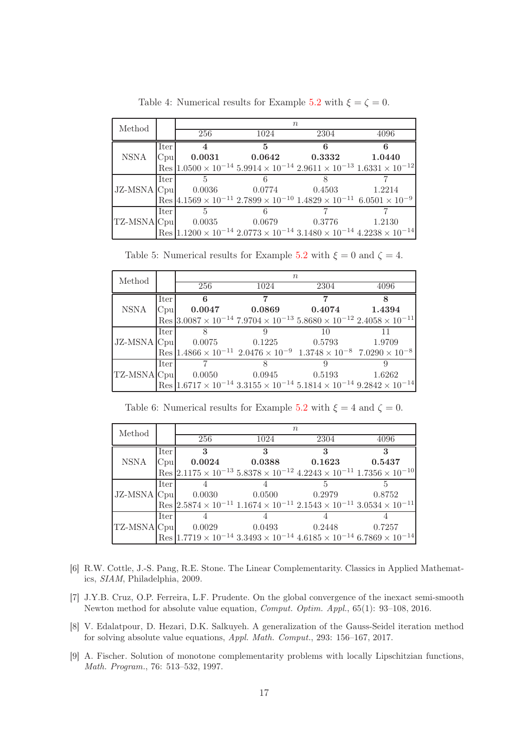<span id="page-16-4"></span>

| Method      |        | $n_{\rm c}$    |                                                                                                                          |      |        |  |
|-------------|--------|----------------|--------------------------------------------------------------------------------------------------------------------------|------|--------|--|
|             |        | 256            | 1024                                                                                                                     | 2304 | 4096   |  |
|             | Iter   |                | .5                                                                                                                       | 6    |        |  |
| <b>NSNA</b> |        |                | $ C_{\text{pu}} $ 0.0031 0.0642 0.3332                                                                                   |      | 1.0440 |  |
|             |        |                | $\left \text{Res}\right 1.0500\times10^{-14}\,5.9914\times10^{-14}\,2.9611\times10^{-13}\,1.6331\times10^{-12}\right $   |      |        |  |
|             | Iter I | .5             |                                                                                                                          |      |        |  |
|             |        |                | $JZ-MSNA$ Cpu $0.0036$ $0.0774$ $0.4503$                                                                                 |      | 1.2214 |  |
|             |        |                | $\text{Res}$ 4.1569 × 10 <sup>-11</sup> 2.7899 × 10 <sup>-10</sup> 1.4829 × 10 <sup>-11</sup> 6.0501 × 10 <sup>-9</sup>  |      |        |  |
|             | Iter I | $5\phantom{0}$ |                                                                                                                          |      |        |  |
|             |        |                | $TZ-MSNA Cpu $ 0.0035 0.0679 0.3776                                                                                      |      | 1.2130 |  |
|             |        |                | $\text{Res}$ 1.1200 × 10 <sup>-14</sup> 2.0773 × 10 <sup>-14</sup> 3.1480 × 10 <sup>-14</sup> 4.2238 × 10 <sup>-14</sup> |      |        |  |

Table 4: Numerical results for Example [5.2](#page-13-3) with  $\xi = \zeta = 0$ .

| Method |        | $n_{\rm }$ |      |                                                                                                                          |              |  |
|--------|--------|------------|------|--------------------------------------------------------------------------------------------------------------------------|--------------|--|
|        |        | 256        | 1024 | 2304                                                                                                                     | 4096         |  |
|        | Iter   | - 6        | 7    | 7                                                                                                                        | $\mathbf{R}$ |  |
| NSNA   |        |            |      | $ C_{\text{pul}} $ 0.0047 0.0869 0.4074 1.4394                                                                           |              |  |
|        |        |            |      | $\text{Res}$ 3.0087 × 10 <sup>-14</sup> 7.9704 × 10 <sup>-13</sup> 5.8680 × 10 <sup>-12</sup> 2.4058 × 10 <sup>-11</sup> |              |  |
|        | Iter   |            | 9    | 10                                                                                                                       |              |  |
|        |        |            |      | JZ-MSNA   Cpu   0.0075 0.1225 0.5793 1.9709                                                                              |              |  |
|        |        |            |      | $\text{Res}$ 1.4866 × 10 <sup>-11</sup> 2.0476 × 10 <sup>-9</sup> 1.3748 × 10 <sup>-8</sup> 7.0290 × 10 <sup>-8</sup>    |              |  |
|        | Iter I |            |      |                                                                                                                          |              |  |
|        |        |            |      | TZ-MSNA Cpu 0.0050 0.0945 0.5193                                                                                         | 1.6262       |  |
|        |        |            |      | $\text{Res}$ 1.6717 × 10 <sup>-14</sup> 3.3155 × 10 <sup>-14</sup> 5.1814 × 10 <sup>-14</sup> 9.2842 × 10 <sup>-14</sup> |              |  |

Table 5: Numerical results for Example [5.2](#page-13-3) with  $\xi = 0$  and  $\zeta = 4$ .

Table 6: Numerical results for Example [5.2](#page-13-3) with  $\xi = 4$  and  $\zeta = 0$ .

<span id="page-16-5"></span>

| Method |          | $n_{\rm c}$ |                                         |                            |                                                                                                                          |  |
|--------|----------|-------------|-----------------------------------------|----------------------------|--------------------------------------------------------------------------------------------------------------------------|--|
|        |          | 256         | 1024                                    | 2304                       | 4096                                                                                                                     |  |
|        | Iter     | 3           | $\mathbf{R}$                            | $\boldsymbol{\mathcal{R}}$ | 3                                                                                                                        |  |
| NSNA   |          |             | $ C_{\text{pul}} $ 0.0024 0.0388 0.1623 |                            | 0.5437                                                                                                                   |  |
|        |          |             |                                         |                            | $Res \mid 2.1175 \times 10^{-13}$ $5.8378 \times 10^{-12}$ $4.2243 \times 10^{-11}$ $1.7356 \times 10^{-10}$             |  |
|        | l Iter l |             |                                         |                            |                                                                                                                          |  |
|        |          |             | $ JZ-MSNA Cpu $ 0.0030 0.0500 0.2979    |                            | 0.8752                                                                                                                   |  |
|        |          |             |                                         |                            | $\text{Res}$ 2.5874 × 10 <sup>-11</sup> 1.1674 × 10 <sup>-11</sup> 2.1543 × 10 <sup>-11</sup> 3.0534 × 10 <sup>-11</sup> |  |
|        | Iter     |             |                                         |                            |                                                                                                                          |  |
|        |          |             | TZ-MSNA Cpu 0.0029 0.0493 0.2448        |                            | 0.7257                                                                                                                   |  |
|        |          |             |                                         |                            | $\text{Res}$ 1.7719 × 10 <sup>-14</sup> 3.3493 × 10 <sup>-14</sup> 4.6185 × 10 <sup>-14</sup> 6.7869 × 10 <sup>-14</sup> |  |

- <span id="page-16-0"></span>[6] R.W. Cottle, J.-S. Pang, R.E. Stone. The Linear Complementarity. Classics in Applied Mathematics, *SIAM*, Philadelphia, 2009.
- <span id="page-16-1"></span>[7] J.Y.B. Cruz, O.P. Ferreira, L.F. Prudente. On the global convergence of the inexact semi-smooth Newton method for absolute value equation, *Comput. Optim. Appl.*, 65(1): 93–108, 2016.
- <span id="page-16-2"></span>[8] V. Edalatpour, D. Hezari, D.K. Salkuyeh. A generalization of the Gauss-Seidel iteration method for solving absolute value equations, *Appl. Math. Comput.*, 293: 156–167, 2017.
- <span id="page-16-3"></span>[9] A. Fischer. Solution of monotone complementarity problems with locally Lipschitzian functions, *Math. Program.*, 76: 513–532, 1997.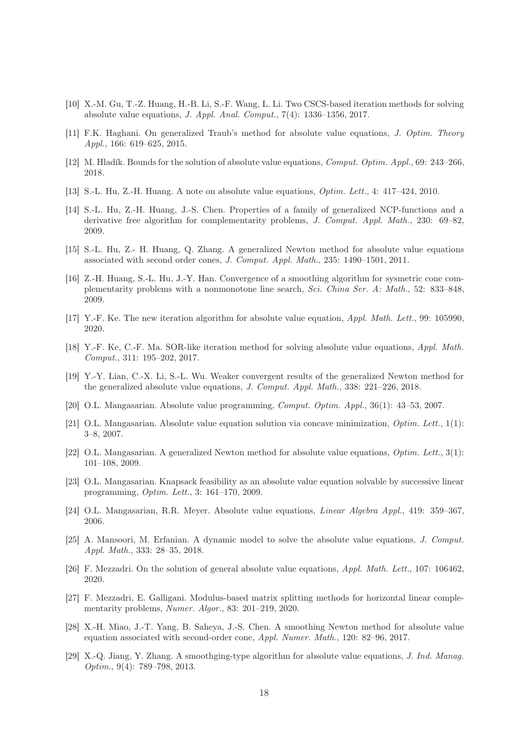- <span id="page-17-15"></span>[10] X.-M. Gu, T.-Z. Huang, H.-B. Li, S.-F. Wang, L. Li. Two CSCS-based iteration methods for solving absolute value equations, *J. Appl. Anal. Comput.*, 7(4): 1336–1356, 2017.
- <span id="page-17-5"></span><span id="page-17-0"></span>[11] F.K. Haghani. On generalized Traub's method for absolute value equations, *J. Optim. Theory Appl.*, 166: 619–625, 2015.
- <span id="page-17-9"></span>[12] M. Hladík. Bounds for the solution of absolute value equations, *Comput. Optim. Appl.*, 69: 243–266, 2018.
- <span id="page-17-19"></span>[13] S.-L. Hu, Z.-H. Huang. A note on absolute value equations, *Optim. Lett.*, 4: 417–424, 2010.
- [14] S.-L. Hu, Z.-H. Huang, J.-S. Chen. Properties of a family of generalized NCP-functions and a derivative free algorithm for complementarity problems, *J. Comput. Appl. Math.*, 230: 69–82, 2009.
- <span id="page-17-1"></span>[15] S.-L. Hu, Z.- H. Huang, Q. Zhang. A generalized Newton method for absolute value equations associated with second order cones, *J. Comput. Appl. Math.*, 235: 1490–1501, 2011.
- <span id="page-17-18"></span>[16] Z.-H. Huang, S.-L. Hu, J.-Y. Han. Convergence of a smoothing algorithm for sysmetric cone complementarity problems with a nonmonotone line search, *Sci. China Ser. A: Math.*, 52: 833–848, 2009.
- <span id="page-17-16"></span><span id="page-17-12"></span>[17] Y.-F. Ke. The new iteration algorithm for absolute value equation, *Appl. Math. Lett.*, 99: 105990, 2020.
- <span id="page-17-13"></span>[18] Y.-F. Ke, C.-F. Ma. SOR-like iteration method for solving absolute value equations, *Appl. Math. Comput.*, 311: 195–202, 2017.
- [19] Y.-Y. Lian, C.-X. Li, S.-L. Wu. Weaker convergent results of the generalized Newton method for the generalized absolute value equations, *J. Comput. Appl. Math.*, 338: 221–226, 2018.
- <span id="page-17-6"></span><span id="page-17-2"></span>[20] O.L. Mangasarian. Absolute value programming, *Comput. Optim. Appl.*, 36(1): 43–53, 2007.
- [21] O.L. Mangasarian. Absolute value equation solution via concave minimization, *Optim. Lett.*, 1(1): 3–8, 2007.
- <span id="page-17-10"></span>[22] O.L. Mangasarian. A generalized Newton method for absolute value equations, *Optim. Lett.*, 3(1): 101–108, 2009.
- <span id="page-17-11"></span>[23] O.L. Mangasarian. Knapsack feasibility as an absolute value equation solvable by successive linear programming, *Optim. Lett.*, 3: 161–170, 2009.
- <span id="page-17-17"></span><span id="page-17-7"></span>[24] O.L. Mangasarian, R.R. Meyer. Absolute value equations, *Linear Algebra Appl.*, 419: 359–367, 2006.
- [25] A. Mansoori, M. Erfanian. A dynamic model to solve the absolute value equations, *J. Comput. Appl. Math.*, 333: 28–35, 2018.
- <span id="page-17-8"></span><span id="page-17-3"></span>[26] F. Mezzadri. On the solution of general absolute value equations, *Appl. Math. Lett.*, 107: 106462, 2020.
- [27] F. Mezzadri, E. Galligani. Modulus-based matrix splitting methods for horizontal linear complementarity problems, *Numer. Algor.*, 83: 201–219, 2020.
- <span id="page-17-4"></span>[28] X.-H. Miao, J.-T. Yang, B. Saheya, J.-S. Chen. A smoothing Newton method for absolute value equation associated with second-order cone, *Appl. Numer. Math.*, 120: 82–96, 2017.
- <span id="page-17-14"></span>[29] X.-Q. Jiang, Y. Zhang. A smoothging-type algorithm for absolute value equations, *J. Ind. Manag. Optim.*, 9(4): 789–798, 2013.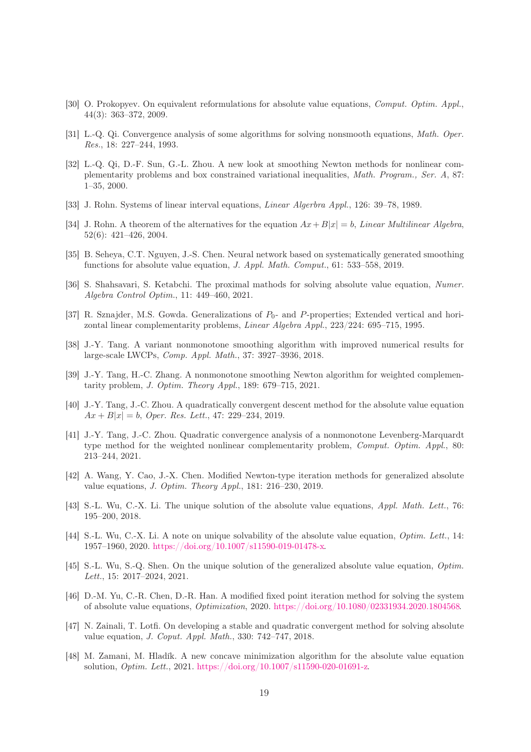- <span id="page-18-16"></span><span id="page-18-1"></span>[30] O. Prokopyev. On equivalent reformulations for absolute value equations, *Comput. Optim. Appl.*, 44(3): 363–372, 2009.
- <span id="page-18-17"></span>[31] L.-Q. Qi. Convergence analysis of some algorithms for solving nonsmooth equations, *Math. Oper. Res.*, 18: 227–244, 1993.
- [32] L.-Q. Qi, D.-F. Sun, G.-L. Zhou. A new look at smoothing Newton methods for nonlinear complementarity problems and box constrained variational inequalities, *Math. Program., Ser. A*, 87: 1–35, 2000.
- <span id="page-18-3"></span><span id="page-18-0"></span>[33] J. Rohn. Systems of linear interval equations, *Linear Algerbra Appl.*, 126: 39–78, 1989.
- [34] J. Rohn. A theorem of the alternatives for the equation  $Ax + B|x| = b$ , *Linear Multilinear Algebra*, 52(6): 421–426, 2004.
- <span id="page-18-8"></span><span id="page-18-7"></span>[35] B. Seheya, C.T. Nguyen, J.-S. Chen. Neural network based on systematically generated smoothing functions for absolute value equation, *J. Appl. Math. Comput.*, 61: 533–558, 2019.
- <span id="page-18-15"></span>[36] S. Shahsavari, S. Ketabchi. The proximal mathods for solving absolute value equation, *Numer. Algebra Control Optim.*, 11: 449–460, 2021.
- [37] R. Sznajder, M.S. Gowda. Generalizations of  $P_0$  and P-properties; Extended vertical and horizontal linear complementarity problems, *Linear Algebra Appl.*, 223/224: 695–715, 1995.
- <span id="page-18-13"></span><span id="page-18-12"></span>[38] J.-Y. Tang. A variant nonmonotone smoothing algorithm with improved numerical results for large-scale LWCPs, *Comp. Appl. Math.*, 37: 3927–3936, 2018.
- [39] J.-Y. Tang, H.-C. Zhang. A nonmonotone smoothing Newton algorithm for weighted complementarity problem, *J. Optim. Theory Appl.*, 189: 679–715, 2021.
- <span id="page-18-10"></span>[40] J.-Y. Tang, J.-C. Zhou. A quadratically convergent descent method for the absolute value equation  $Ax + B|x| = b$ , *Oper. Res. Lett.*, 47: 229–234, 2019.
- <span id="page-18-14"></span>[41] J.-Y. Tang, J.-C. Zhou. Quadratic convergence analysis of a nonmonotone Levenberg-Marquardt type method for the weighted nonlinear complementarity problem, *Comput. Optim. Appl.*, 80: 213–244, 2021.
- <span id="page-18-9"></span>[42] A. Wang, Y. Cao, J.-X. Chen. Modified Newton-type iteration methods for generalized absolute value equations, *J. Optim. Theory Appl.*, 181: 216–230, 2019.
- <span id="page-18-4"></span>[43] S.-L. Wu, C.-X. Li. The unique solution of the absolute value equations, *Appl. Math. Lett.*, 76: 195–200, 2018.
- [44] S.-L. Wu, C.-X. Li. A note on unique solvability of the absolute value equation, *Optim. Lett.*, 14: 1957–1960, 2020. [https://doi.org/10.1007/s11590-019-01478-x.](https://doi.org/10.1007/s11590-019-01478-x)
- <span id="page-18-5"></span>[45] S.-L. Wu, S.-Q. Shen. On the unique solution of the generalized absolute value equation, *Optim. Lett.*, 15: 2017–2024, 2021.
- <span id="page-18-11"></span>[46] D.-M. Yu, C.-R. Chen, D.-R. Han. A modified fixed point iteration method for solving the system of absolute value equations, *Optimization*, 2020. [https://doi.org/10.1080/02331934.2020.1804568.](https://doi.org/10.1080/02331934.2020.1804568)
- <span id="page-18-6"></span>[47] N. Zainali, T. Lotfi. On developing a stable and quadratic convergent method for solving absolute value equation, *J. Coput. Appl. Math.*, 330: 742–747, 2018.
- <span id="page-18-2"></span>[48] M. Zamani, M. Hladík. A new concave minimization algorithm for the absolute value equation solution, *Optim. Lett.*, 2021. [https://doi.org/10.1007/s11590-020-01691-z.](https://doi.org/10.1007/s11590-020-01691-z)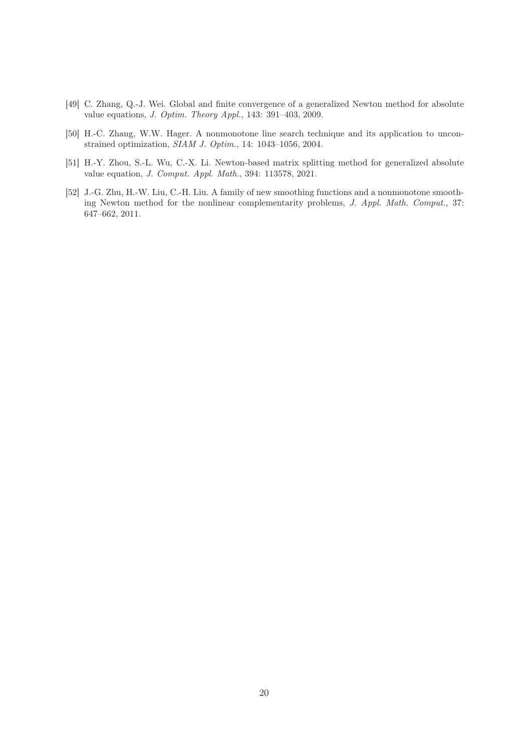- <span id="page-19-0"></span>[49] C. Zhang, Q.-J. Wei. Global and finite convergence of a generalized Newton method for absolute value equations, *J. Optim. Theory Appl.*, 143: 391–403, 2009.
- <span id="page-19-3"></span>[50] H.-C. Zhang, W.W. Hager. A nonmonotone line search technique and its application to unconstrained optimization, *SIAM J. Optim.*, 14: 1043–1056, 2004.
- <span id="page-19-1"></span>[51] H.-Y. Zhou, S.-L. Wu, C.-X. Li. Newton-based matrix splitting method for generalized absolute value equation, *J. Comput. Appl. Math.*, 394: 113578, 2021.
- <span id="page-19-2"></span>[52] J.-G. Zhu, H.-W. Liu, C.-H. Liu. A family of new smoothing functions and a nonmonotone smoothing Newton method for the nonlinear complementarity problems, *J. Appl. Math. Comput.*, 37: 647–662, 2011.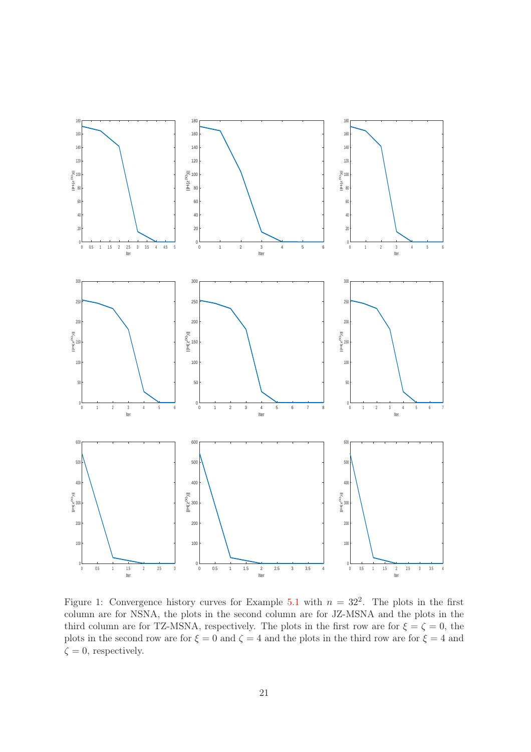<span id="page-20-0"></span>

Figure 1: Convergence history curves for Example [5.1](#page-13-2) with  $n = 32^2$ . The plots in the first column are for NSNA, the plots in the second column are for JZ-MSNA and the plots in the third column are for TZ-MSNA, respectively. The plots in the first row are for  $\xi = \zeta = 0$ , the plots in the second row are for  $\xi = 0$  and  $\zeta = 4$  and the plots in the third row are for  $\xi = 4$  and  $\zeta = 0$ , respectively.